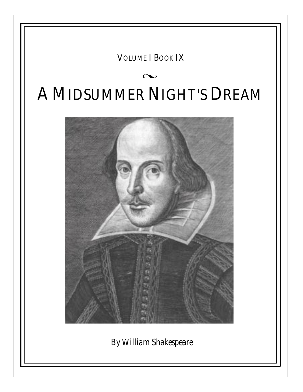## VOLUME I BOOK IX

# l A MIDSUMMER NIGHT'S DREAM



*By William Shakespeare*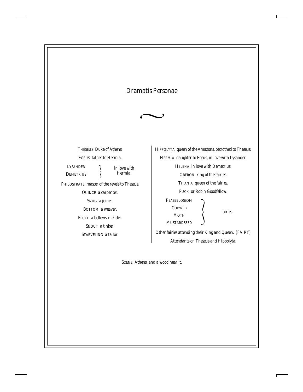### *Dramatis Personae*



THESEUS *Duke of Athens.* EGEUS *father to Hermia.* PHILOSTRATE *master of the revels to Theseus.* QUINCE *a carpenter.* SNUG *a joiner.* BOTTOM *a weaver.* FLUTE *a bellows-mender.* SNOUT *a tinker.* STARVELING *a tailor.* LYSANDER *in love with* D**EMETRIUS** 

HIPPOLYTA *queen of the Amazons, betrothed to Theseus.* HERMIA *daughter to Egeus, in love with Lysander.* HELENA *in love with Demetrius.* OBERON *king of the fairies.* TITANIA *queen of the fairies.* PUCK *or Robin Goodfellow.* PEASEBLOSSOM *fairies.* **COBWEB MOTH MUSTARDSEED** 

*Other fairies attending their King and Queen. (FAIRY) Attendants on Theseus and Hippolyta.*

SCENE *Athens, and a wood near it.*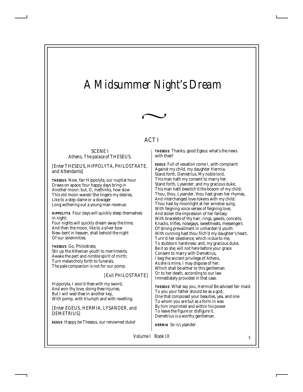## *A Midsummer Night's Dream*



#### ACT I

SCENE I *Athens. The palace of THESEUS.*

#### *[Enter THESEUS, HIPPOLYTA, PHILOSTRATE, and Attendants]*

*THESEUS* Now, fair Hippolyta, our nuptial hour Draws on apace; four happy days bring in Another moon: but, O, methinks, how slow This old moon wanes! She lingers my desires, Like to a step-dame or a dowager Long withering out a young man revenue.

*HIPPOLYTA* Four days will quickly steep themselves in night;

Four nights will quickly dream away the time; And then the moon, like to a silver bow New-bent in heaven, shall behold the night Of our solemnities.

*THESEUS* Go, Philostrate, Stir up the Athenian youth to merriments; Awake the pert and nimble spirit of mirth; Turn melancholy forth to funerals; The pale companion is not for our pomp.

#### *[Exit PHILOSTRATE]*

Hippolyta, I woo'd thee with my sword, And won thy love, doing thee injuries; But I will wed thee in another key, With pomp, with triumph and with revelling.

*[Enter EGEUS, HERMIA, LYSANDER, and DEMETRIUS]*

*EGEUS* Happy be Theseus, our renowned duke!

*THESEUS* Thanks, good Egeus: what's the news with thee?

*EGEUS* Full of vexation come I, with complaint Against my child, my daughter Hermia. Stand forth, Demetrius. My noble lord, This man hath my consent to marry her. Stand forth, Lysander: and my gracious duke, This man hath bewitch'd the bosom of my child; Thou, thou, Lysander, thou hast given her rhymes, And interchanged love-tokens with my child: Thou hast by moonlight at her window sung, With feigning voice verses of feigning love, And stolen the impression of her fantasy With bracelets of thy hair, rings, gawds, conceits, Knacks, trifles, nosegays, sweetmeats, messengers Of strong prevailment in unharden'd youth: With cunning hast thou filch'd my daughter's heart, Turn'd her obedience, which is due to me, To stubborn harshness: and, my gracious duke, Be it so she; will not here before your grace Consent to marry with Demetrius, I beg the ancient privilege of Athens, As she is mine, I may dispose of her: Which shall be either to this gentleman Or to her death, according to our law Immediately provided in that case.

*THESEUS* What say you, Hermia? Be advised fair maid: To you your father should be as a god; One that composed your beauties, yea, and one To whom you are but as a form in wax By him imprinted and within his power To leave the figure or disfigure it. Demetrius is a worthy gentleman.

*HERMIA* So is Lysander.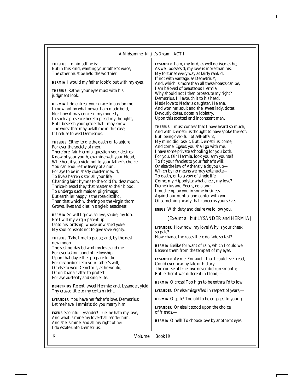*THESEUS* In himself he is; But in this kind, wanting your father's voice, The other must be held the worthier.

*HERMIA* I would my father look'd but with my eyes.

*THESEUS* Rather your eyes must with his judgment look.

*HERMIA* I do entreat your grace to pardon me. I know not by what power I am made bold, Nor how it may concern my modesty, In such a presence here to plead my thoughts; But I beseech your grace that I may know The worst that may befall me in this case, If I refuse to wed Demetrius.

*THESEUS* Either to die the death or to abjure For ever the society of men. Therefore, fair Hermia, question your desires; Know of your youth, examine well your blood, Whether, if you yield not to your father's choice, You can endure the livery of a nun, For aye to be in shady cloister mew'd, To live a barren sister all your life, Chanting faint hymns to the cold fruitless moon. Thrice-blessed they that master so their blood, To undergo such maiden pilgrimage; But earthlier happy is the rose distill'd, Than that which withering on the virgin thorn Grows, lives and dies in single blessedness.

*HERMIA* So will I grow, so live, so die, my lord, Ere I will my virgin patent up Unto his lordship, whose unwished yoke My soul consents not to give sovereignty.

*THESEUS* Take time to pause; and, by the nest new moon—

The sealing-day betwixt my love and me, For everlasting bond of fellowship— Upon that day either prepare to die For disobedience to your father's will, Or else to wed Demetrius, as he would; Or on Diana's altar to protest For aye austerity and single life.

*DEMETRIUS* Relent, sweet Hermia: and, Lysander, yield Thy crazed title to my certain right.

*LYSANDER* You have her father's love, Demetrius; Let me have Hermia's: do you marry him.

*EGEUS* Scornful Lysander!True, he hath my love, And what is mine my love shall render him. And she is mine, and all my right of her I do estate unto Demetrius.

*LYSANDER* I am, my lord, as well derived as he, As well possess'd; my love is more than his; My fortunes every way as fairly rank'd, If not with vantage, as Demetrius'; And, which is more than all these boasts can be, I am beloved of beauteous Hermia: Why should not I then prosecute my right? Demetrius, I'll avouch it to his head, Made love to Nedar's daughter, Helena, And won her soul; and she, sweet lady, dotes, Devoutly dotes, dotes in idolatry, Upon this spotted and inconstant man.

*THESEUS* I must confess that I have heard so much, And with Demetrius thought to have spoke thereof; But, being over-full of self-affairs, My mind did lose it. But, Demetrius, come; And come, Egeus; you shall go with me, I have some private schooling for you both. For you, fair Hermia, look you arm yourself To fit your fancies to your father's will; Or else the law of Athens yields you up— Which by no means we may extenuate— To death, or to a vow of single life. Come, my Hippolyta: what cheer, my love? Demetrius and Egeus, go along: I must employ you in some business Against our nuptial and confer with you Of something nearly that concerns yourselves.

*EGEUS* With duty and desire we follow you.

#### *[Exeunt all but LYSANDER and HERMIA]*

*LYSANDER* How now, my love! Why is your cheek so pale?

How chance the roses there do fade so fast?

*HERMIA* Belike for want of rain, which I could well Beteem them from the tempest of my eyes.

*LYSANDER* Ay me! For aught that I could ever read, Could ever hear by tale or history, The course of true love never did run smooth; But, either it was different in blood,—

*HERMIA* O cross! Too high to be enthrall'd to low.

*LYSANDER* Or else misgraffed in respect of years,—

*HERMIA* O spite! Too old to be engaged to young.

*LYSANDER* Or else it stood upon the choice of friends,—

*HERMIA* O hell! To choose love by another's eyes.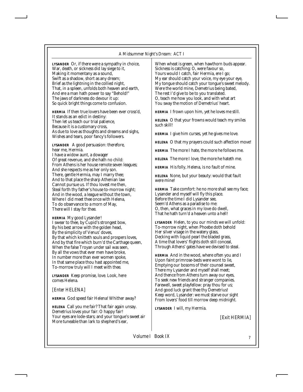#### *A Midsummer Night's Dream: ACT I*

*LYSANDER* Or, if there were a sympathy in choice, War, death, or sickness did lay siege to it, Making it momentany as a sound, Swift as a shadow, short as any dream; Brief as the lightning in the collied night, That, in a spleen, unfolds both heaven and earth, And ere a man hath power to say "Behold!" The jaws of darkness do devour it up: So quick bright things come to confusion.

*HERMIA* If then true lovers have been ever cross'd, It stands as an edict in destiny: Then let us teach our trial patience, Because it is a customary cross, As due to love as thoughts and dreams and sighs, Wishes and tears, poor fancy's followers.

*LYSANDER* A good persuasion: therefore, hear me, Hermia. I have a widow aunt, a dowager Of great revenue, and she hath no child: From Athens is her house remote seven leagues; And she respects me as her only son. There, gentle Hermia, may I marry thee; And to that place the sharp Athenian law Cannot pursue us. If thou lovest me then, Steal forth thy father's house to-morrow night; And in the wood, a league without the town, Where I did meet thee once with Helena, To do observance to a morn of May, There will I stay for thee.

*HERMIA* My good Lysander! I swear to thee, by Cupid's strongest bow, By his best arrow with the golden head, By the simplicity of Venus' doves, By that which knitteth souls and prospers loves, And by that fire which burn'd the Carthage queen, When the false Troyan under sail was seen, By all the vows that ever men have broke, In number more than ever women spoke, In that same place thou hast appointed me, To-morrow truly will I meet with thee.

*LYSANDER* Keep promise, love. Look, here comes Helena.

*[Enter HELENA]*

*HERMIA* God speed fair Helena! Whither away?

*HELENA* Call you me fair? That fair again unsay. Demetrius loves your fair: O happy fair! Your eyes are lode-stars; and your tongue's sweet air More tuneable than lark to shepherd's ear,

When wheat is green, when hawthorn buds appear. Sickness is catching: O, were favour so, Yours would I catch, fair Hermia, ere I go; My ear should catch your voice, my eye your eye, My tongue should catch your tongue's sweet melody. Were the world mine, Demetrius being bated, The rest I'd give to be to you translated. O, teach me how you look, and with what art You sway the motion of Demetrius' heart.

*HERMIA* I frown upon him, yet he loves me still.

*HELENA* O that your frowns would teach my smiles such skill!

*HERMIA* I give him curses, yet he gives me love.

*HELENA* O that my prayers could such affection move!

*HERMIA* The more I hate, the more he follows me.

*HELENA* The more I love, the more he hateth me.

*HERMIA* His folly, Helena, is no fault of mine.

*HELENA* None, but your beauty: would that fault were mine!

*HERMIA* Take comfort: he no more shall see my face; Lysander and myself will fly this place. Before the time I did Lysander see, Seem'd Athens as a paradise to me: O, then, what graces in my love do dwell, That he hath turn'd a heaven unto a hell!

*LYSANDER* Helen, to you our minds we will unfold: To-morrow night, when Phoebe doth behold Her silver visage in the watery glass, Decking with liquid pearl the bladed grass, A time that lovers' flights doth still conceal, Through Athens' gates have we devised to steal.

*HERMIA* And in the wood, where often you and I Upon faint primrose-beds were wont to lie, Emptying our bosoms of their counsel sweet, There my Lysander and myself shall meet; And thence from Athens turn away our eyes, To seek new friends and stranger companies. Farewell, sweet playfellow: pray thou for us; And good luck grant thee thy Demetrius! Keep word, Lysander: we must starve our sight From lovers' food till morrow deep midnight.

*LYSANDER* I will, my Hermia.

*[Exit HERMIA]*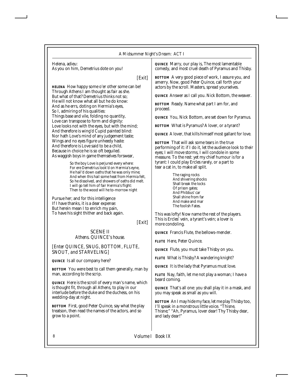Helena, adieu: As you on him, Demetrius dote on you!

*[Exit]*

*HELENA* How happy some o'er other some can be! Through Athens I am thought as fair as she. But what of that? Demetrius thinks not so; He will not know what all but he do know: And as he errs, doting on Hermia's eyes, So I, admiring of his qualities: Things base and vile, folding no quantity, Love can transpose to form and dignity: Love looks not with the eyes, but with the mind; And therefore is wing'd Cupid painted blind: Nor hath Love's mind of any judgement taste; Wings and no eyes figure unheedy haste: And therefore is Love said to be a child, Because in choice he is so oft beguiled. As waggish boys in game themselves forswear,

> So the boy Love is perjured every where: For ere Demetrius look'd on Hermia's eyne, He hail'd down oaths that he was only mine; And when this hail some heat from Hermia felt, So he dissolved, and showers of oaths did melt. I will go tell him of fair Hermia's flight: Then to the wood will he to-morrow night

Pursue her; and for this intelligence If I have thanks, it is a dear expense: But herein mean I to enrich my pain, To have his sight thither and back again.

#### *[Exit]*

SCENE II *Athens. QUINCE's house.*

*[Enter QUINCE, SNUG, BOTTOM, FLUTE, SNOUT, and STARVELING]*

*QUINCE* Is all our company here?

*BOTTOM* You were best to call them generally, man by man, according to the scrip.

*QUINCE* Here is the scroll of every man's name, which is thought fit, through all Athens, to play in our interlude before the duke and the duchess, on his wedding-day at night.

*BOTTOM* First, good Peter Quince, say what the play treatson, then read the names of the actors, and so grow to a point.

*QUINCE* Marry, our play is, The most lamentable comedy, and most cruel death of Pyramus and Thisby.

*BOTTOM* A very good piece of work, I assure you, and amerry. Now, good Peter Quince, call forth your actors by the scroll. Masters, spread yourselves.

*QUINCE* Answer as I call you. Nick Bottom, the weaver.

*BOTTOM* Ready. Name what part I am for, and proceed.

*QUINCE* You, Nick Bottom, are set down for Pyramus.

*BOTTOM* What is Pyramus? A lover, or a tyrant?

*QUINCE* A lover, that kills himself most gallant for love.

*BOTTOM* That will ask some tears in the true performing of it: if I do it, let the audience look to their eyes; I will move storms, I will condole in some measure. To the rest: yet my chief humour is for a tyrant: I could play Ercles rarely, or a part to tear a cat in, to make all split.

> The raging rocks And shivering shocks Shall break the locks Of prison gates; And Phibbus' car Shall shine from far And make and mar The foolish Fates.

This was lofty! Now name the rest of the players. This is Ercles' vein, a tyrant's vein; a lover is more condoling.

*QUINCE* Francis Flute, the bellows-mender.

*FLUTE* Here, Peter Quince.

*QUINCE* Flute, you must take Thisby on you.

*FLUTE* What is Thisby? A wandering knight?

*QUINCE* It is the lady that Pyramus must love.

*FLUTE* Nay, faith, let me not play a woman; I have a beard coming.

*QUINCE* That's all one: you shall play it in a mask, and you may speak as small as you will.

*BOTTOM* An I may hide my face, let me play Thisby too, I'll speak in a monstrous little voice. "Thisne, Thisne;" "Ah, Pyramus, lover dear! Thy Thisby dear, and lady dear!"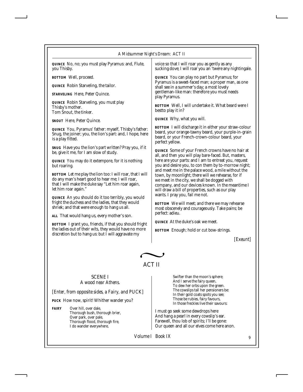|                                                                                                                                                                                                                                                                                                                                                                                                                                                                                                                                                                                                                      | A Midsummer Night's Dream: ACT II                                                                                                                                                                                                                                                                                                                                                                                                                                                                                                                                                                                                                                                                        |  |
|----------------------------------------------------------------------------------------------------------------------------------------------------------------------------------------------------------------------------------------------------------------------------------------------------------------------------------------------------------------------------------------------------------------------------------------------------------------------------------------------------------------------------------------------------------------------------------------------------------------------|----------------------------------------------------------------------------------------------------------------------------------------------------------------------------------------------------------------------------------------------------------------------------------------------------------------------------------------------------------------------------------------------------------------------------------------------------------------------------------------------------------------------------------------------------------------------------------------------------------------------------------------------------------------------------------------------------------|--|
| QUINCE No, no; you must play Pyramus: and, Flute,<br>you Thisby.                                                                                                                                                                                                                                                                                                                                                                                                                                                                                                                                                     | voice so that I will roar you as gently as any<br>sucking dove; I will roar you an 'twere any nightingale.                                                                                                                                                                                                                                                                                                                                                                                                                                                                                                                                                                                               |  |
| <b>BOTTOM</b> Well, proceed.<br><i>QUINCE</i> Robin Starveling, the tailor.<br>STARVELING Here, Peter Quince.<br><i>QUINCE</i> Robin Starveling, you must play<br>Thisby's mother.<br>Tom Snout, the tinker.<br>SNOUT Here, Peter Quince.<br><i>QUINCE</i> You, Pyramus' father: myself, Thisby's father:<br>Snug, the joiner; you, the lion's part: and, I hope, here<br>is a play fitted.<br><i>SNUG</i> Have you the lion's part written? Pray you, if it<br>be, give it me, for I am slow of study.<br><i>QUINCE</i> You may do it extempore, for it is nothing                                                  | QUINCE You can play no part but Pyramus; for<br>Pyramus is a sweet-faced man; a proper man, as one<br>shall see in a summer's day; a most lovely<br>gentleman-like man: therefore you must needs<br>play Pyramus.<br><b>BOTTOM</b> Well, I will undertake it. What beard were I<br>bestto play it in?<br>QUINCE Why, what you will.<br><b>BOTTOM</b> I will discharge it in either your straw-colour<br>beard, your orange-tawny beard, your purple-in-grain<br>beard, or your French-crown-colour beard, your<br>perfect yellow.<br>QUINCE Some of your French crowns have no hair at<br>all, and then you will play bare-faced. But, masters,<br>here are your parts: and I am to entreat you, request |  |
| but roaring.<br><b>BOTTOM</b> Let me play the lion too: I will roar, that I will<br>do any man's heart good to hear me; I will roar,<br>that I will make the duke say "Let him roar again,<br>let him roar again."<br><i>QUINCE</i> An you should do it too terribly, you would<br>fright the duchess and the ladies, that they would<br>shriek; and that were enough to hang us all.<br>ALL That would hang us, every mother's son.<br><b>BOTTOM</b> I grant you, friends, if that you should fright<br>the ladies out of their wits, they would have no more<br>discretion but to hang us: but I will aggravate my | you and desire you, to con them by to-morrow night;<br>and meet me in the palace wood, a mile without the<br>town, by moonlight; there will we rehearse, for if<br>we meet in the city, we shall be dogged with<br>company, and our devices known. In the meantime I<br>will draw a bill of properties, such as our play<br>wants. I pray you, fail me not.<br><b>BOTTOM</b> We will meet; and there we may rehearse<br>most obscenely and courageously. Take pains; be<br>perfect: adieu.<br><i>QUINCE</i> At the duke's oak we meet.<br><b>BOTTOM</b> Enough; hold or cut bow-strings.<br>[Exeunt]                                                                                                     |  |
| <b>ACT II</b>                                                                                                                                                                                                                                                                                                                                                                                                                                                                                                                                                                                                        |                                                                                                                                                                                                                                                                                                                                                                                                                                                                                                                                                                                                                                                                                                          |  |
|                                                                                                                                                                                                                                                                                                                                                                                                                                                                                                                                                                                                                      |                                                                                                                                                                                                                                                                                                                                                                                                                                                                                                                                                                                                                                                                                                          |  |

#### SCENE I *A wood near Athens.*

*[Enter, from opposite sides, a Fairy, and PUCK]*

*PUCK* How now, spirit! Whither wander you?

*FAIRY* Over hill, over dale, Thorough bush, thorough brier, Over park, over pale, Thorough flood, thorough fire, I do wander everywhere,

Swifter than the moon's sphere; And I serve the fairy queen, To dew her orbs upon the green. The cowslips tall her pensioners be: In their gold coats spots you see; Those be rubies, fairy favours, In those freckles live their savours:

I must go seek some dewdrops here And hang a pearl in every cowslip's ear. Farewell, thou lob of spirits; I'll be gone: Our queen and all our elves come here anon.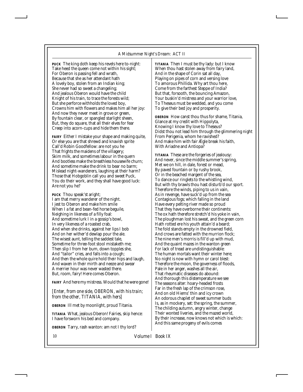*PUCK* The king doth keep his revels here to-night: Take heed the queen come not within his sight; For Oberon is passing fell and wrath, Because that she as her attendant hath A lovely boy, stolen from an Indian king; She never had so sweet a changeling; And jealous Oberon would have the child Knight of his train, to trace the forests wild; But she perforce withholds the loved boy, Crowns him with flowers and makes him all her joy: And now they never meet in grove or green, By fountain clear, or spangled starlight sheen, But, they do square, that all their elves for fear Creep into acorn-cups and hide them there.

*FAIRY* Either I mistake your shape and making quite, Or else you are that shrewd and knavish sprite Call'd Robin Goodfellow: are not you he That frights the maidens of the villagery; Skim milk, and sometimes labour in the quern And bootless make the breathless housewife churn; And sometime make the drink to bear no barm; Mislead night-wanderers, laughing at their harm? Those that Hobgoblin call you and sweet Puck, You do their work, and they shall have good luck: Are not you he?

*PUCK* Thou speak'st aright; I am that merry wanderer of the night. I jest to Oberon and make him smile When I a fat and bean-fed horse beguile, Neighing in likeness of a filly foal: And sometime lurk I in a gossip's bowl, In very likeness of a roasted crab, And when she drinks, against her lips I bob And on her wither'd dewlap pour the ale. The wisest aunt, telling the saddest tale, Sometime for three-foot stool mistaketh me; Then slip I from her bum, down topples she, And "tailor" cries, and falls into a cough; And then the whole quire hold their hips and laugh, And waxen in their mirth and neeze and swear A merrier hour was never wasted there. But, room, fairy! Here comes Oberon.

*FAIRY* And here my mistress. Would that he were gone!

*[Enter, from one side, OBERON, with his train; from the other, TITANIA, with hers]*

*OBERON* Ill met by moonlight, proud Titania.

*TITANIA* What, jealous Oberon! Fairies, skip hence: I have forsworn his bed and company.

*OBERON* Tarry, rash wanton: am not I thy lord?

*TITANIA* Then I must be thy lady: but I know When thou hast stolen away from fairy land, And in the shape of Corin sat all day, Playing on pipes of corn and versing love To amorous Phillida. Why art thou here, Come from the farthest Steppe of India? But that, forsooth, the bouncing Amazon, Your buskin'd mistress and your warrior love, To Theseus must be wedded, and you come To give their bed joy and prosperity.

*OBERON* How canst thou thus for shame, Titania, Glance at my credit with Hippolyta, Knowing I know thy love to Theseus? Didst thou not lead him through the glimmering night From Perigenia, whom he ravished? And make him with fair Ægle break his faith, With Ariadne and Antiopa?

*TITANIA* These are the forgeries of jealousy: And never, since the middle summer's spring, Met we on hill, in dale, forest or mead, By paved fountain or by rushy brook, Or in the beached margent of the sea, To dance our ringlets to the whistling wind, But with thy brawls thou hast disturb'd our sport. Therefore the winds, piping to us in vain, As in revenge, have suck'd up from the sea Contagious fogs; which falling in the land Have every pelting river made so proud That they have overborne their continents: The ox hath therefore stretch'd his yoke in vain, The ploughman lost his sweat, and the green corn Hath rotted ere his youth attain'd a beard; The fold stands empty in the drowned field, And crows are fatted with the murrion flock; The nine men's morris is fill'd up with mud, And the quaint mazes in the wanton green For lack of tread are undistinguishable: The human mortals want their winter here; No night is now with hymn or carol blest: Therefore the moon, the governess of floods, Pale in her anger, washes all the air, That rheumatic diseases do abound: And thorough this distemperature we see The seasons alter: hoary-headed frosts Far in the fresh lap of the crimson rose, And on old Hiems' thin and icy crown An odorous chaplet of sweet summer buds Is, as in mockery, set: the spring, the summer, The childing autumn, angry winter, change Their wonted liveries, and the mazed world, By their increase, now knows not which is which: And this same progeny of evils comes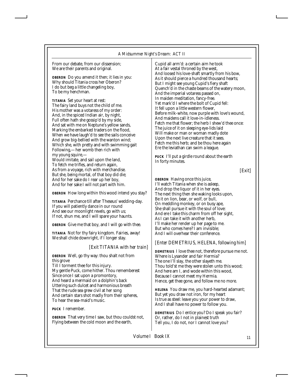From our debate, from our dissension; We are their parents and original.

*OBERON* Do you amend it then; it lies in you: Why should Titania cross her Oberon? I do but beg a little changeling boy, To be my henchman.

*TITANIA* Set your heart at rest: The fairy land buys not the child of me. His mother was a votaress of my order: And, in the spiced Indian air, by night, Full often hath she gossip'd by my side, And sat with me on Neptune's yellow sands, Marking the embarked traders on the flood, When we have laugh'd to see the sails conceive And grow big-bellied with the wanton wind; Which she, with pretty and with swimming gait Following,—her womb then rich with my young squire,—

Would imitate, and sail upon the land, To fetch me trifles, and return again, As from a voyage, rich with merchandise. But she, being mortal, of that boy did die; And for her sake do I rear up her boy, And for her sake I will not part with him.

*OBERON* How long within this wood intend you stay?

*TITANIA* Perchance till after Theseus' wedding-day. If you will patiently dance in our round And see our moonlight revels, go with us; If not, shun me, and I will spare your haunts.

*OBERON* Give me that boy, and I will go with thee.

*TITANIA* Not for thy fairy kingdom. Fairies, away! We shall chide downright, if I longer stay.

#### *[Exit TITANIA with her train]*

*OBERON* Well, go thy way: thou shalt not from this grove

Till I torment thee for this injury. My gentle Puck, come hither. Thou rememberest Since once I sat upon a promontory, And heard a mermaid on a dolphin's back Uttering such dulcet and harmonious breath That the rude sea grew civil at her song And certain stars shot madly from their spheres, To hear the sea-maid's music.

*PUCK* I remember.

*OBERON* That very time I saw, but thou couldst not, Flying between the cold moon and the earth,

Cupid all arm'd: a certain aim he took At a fair vestal throned by the west, And loosed his love-shaft smartly from his bow, As it should pierce a hundred thousand hearts; But I might see young Cupid's fiery shaft Quench'd in the chaste beams of the watery moon, And the imperial votaress passed on, In maiden meditation, fancy-free. Yet mark'd I where the bolt of Cupid fell: It fell upon a little western flower, Before milk-white, now purple with love's wound, And maidens call it love-in-idleness. Fetch me that flower; the herb I shew'd thee once: The juice of it on sleeping eye-lids laid Will make or man or woman madly dote Upon the next live creature that it sees. Fetch me this herb; and be thou here again Ere the leviathan can swim a league.

*PUCK* I'll put a girdle round about the earth In forty minutes.

*[Exit]*

*OBERON* Having once this juice, I'll watch Titania when she is asleep, And drop the liquor of it in her eyes. The next thing then she waking looks upon, Be it on lion, bear, or wolf, or bull, On meddling monkey, or on busy ape, She shall pursue it with the soul of love: And ere I take this charm from off her sight, As I can take it with another herb, I'll make her render up her page to me. But who comes here? I am invisible; And I will overhear their conference.

#### *[Enter DEMETRIUS, HELENA, following him]*

*DEMETRIUS* I love thee not, therefore pursue me not. Where is Lysander and fair Hermia? The one I'll slay, the other slayeth me. Thou told'st me they were stolen unto this wood; And here am I, and wode within this wood, Because I cannot meet my Hermia. Hence, get thee gone, and follow me no more.

*HELENA* You draw me, you hard-hearted adamant; But yet you draw not iron, for my heart Is true as steel: leave you your power to draw, And I shall have no power to follow you.

*DEMETRIUS* Do I entice you? Do I speak you fair? Or, rather, do I not in plainest truth Tell you, I do not, nor I cannot love you?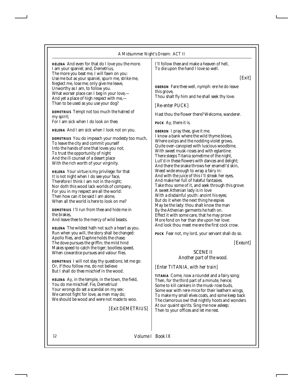#### *A Midsummer Night's Dream: ACT II*

*HELENA* And even for that do I love you the more. I am your spaniel; and, Demetrius, The more you beat me, I will fawn on you: Use me but as your spaniel, spurn me, strike me, Neglect me, lose me; only give me leave, Unworthy as I am, to follow you. What worser place can I beg in your love,— And yet a place of high respect with me,— Than to be used as you use your dog?

*DEMETRIUS* Tempt not too much the hatred of my spirit; For I am sick when I do look on thee.

*HELENA* And I am sick when I look not on you.

*DEMETRIUS* You do impeach your modesty too much, To leave the city and commit yourself Into the hands of one that loves you not; To trust the opportunity of night And the ill counsel of a desert place With the rich worth of your virginity.

*HELENA* Your virtue is my privilege: for that It is not night when I do see your face, Therefore I think I am not in the night; Nor doth this wood lack worlds of company, For you in my respect are all the world: Then how can it be said I am alone, When all the world is here to look on me?

*DEMETRIUS* I'll run from thee and hide me in the brakes,

And leave thee to the mercy of wild beasts.

*HELENA* The wildest hath not such a heart as you. Run when you will, the story shall be changed: Apollo flies, and Daphne holds the chase; The dove pursues the griffin; the mild hind Makes speed to catch the tiger; bootless speed, When cowardice pursues and valour flies.

*DEMETRIUS* I will not stay thy questions; let me go: Or, if thou follow me, do not believe But I shall do thee mischief in the wood.

*HELENA* Ay, in the temple, in the town, the field, You do me mischief. Fie, Demetrius! Your wrongs do set a scandal on my sex: We cannot fight for love, as men may do; We should be wood and were not made to woo.

#### *[Exit DEMETRIUS]*

I'll follow thee and make a heaven of hell, To die upon the hand I love so well.

*[Exit]*

*OBERON* Fare thee well, nymph: ere he do leave this grove, Thou shalt fly him and he shall seek thy love.

*[Re-enter PUCK]*

Hast thou the flower there? Welcome, wanderer.

*PUCK* Ay, there it is.

*OBERON* I pray thee, give it me. I know a bank where the wild thyme blows, Where oxlips and the nodding violet grows, Quite over-canopied with luscious woodbine, With sweet musk-roses and with eglantine: There sleeps Titania sometime of the night, Lull'd in these flowers with dances and delight; And there the snake throws her enamell'd skin, Weed wide enough to wrap a fairy in: And with the juice of this I'll streak her eyes, And make her full of hateful fantasies. Take thou some of it, and seek through this grove: A sweet Athenian lady is in love With a disdainful youth: anoint his eyes; But do it when the next thing he espies May be the lady: thou shalt know the man By the Athenian garments he hath on. Effect it with some care, that he may prove More fond on her than she upon her love: And look thou meet me ere the first cock crow.

*PUCK* Fear not, my lord, your servant shall do so.

*[Exeunt]*

#### SCENE II *Another part of the wood.*

#### *[Enter TITANIA, with her train]*

*TITANIA* Come, now a roundel and a fairy song; Then, for the third part of a minute, hence; Some to kill cankers in the musk-rose buds, Some war with rere-mice for their leathern wings, To make my small elves coats, and some keep back The clamorous owl that nightly hoots and wonders At our quaint spirits. Sing me now asleep; Then to your offices and let me rest.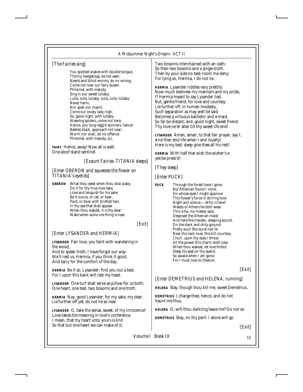#### *A Midsummer Night's Dream: ACT II*

#### *[The Fairies sing]*

You spotted snakes with double tongue, Thorny hedgehogs, be not seen; Newts and blind-worms, do no wrong, Come not near our fairy queen. Philomel, with melody Sing in our sweet lullaby; Lulla, lulla, lullaby, lulla, lulla, lullaby: Never harm, Nor spell nor charm, Come our lovely lady nigh; So, good night, with lullaby. Weaving spiders, come not here; Hence, you long-legg'd spinners, hence! Beetles black, approach not near; Worm nor snail, do no offence. Philomel, with melody, &c.

*FAIRY* Hence, away! Now all is well: One aloof stand sentinel.

#### *[Exeunt Fairies. TITANIA sleeps]*

#### *[Enter OBERON and squeezes the flower on TITANIA's eyelids]*

*OBERON* What thou seest when thou dost wake, Do it for thy true-love take, Love and languish for his sake: Be it ounce, or cat, or bear, Pard, or boar with bristled hair, In thy eye that shall appear When thou wakest, it is thy dear: Wake when some vile thing is near.

#### *[Exit]*

#### *[Enter LYSANDER and HERMIA]*

*LYSANDER* Fair love, you faint with wandering in the wood;

And to speak troth, I have forgot our way: We'll rest us, Hermia, if you think it good, And tarry for the comfort of the day.

*HERMIA* Be it so, Lysander: find you out a bed; For I upon this bank will rest my head.

*LYSANDER* One turf shall serve as pillow for us both; One heart, one bed, two bosoms and one troth.

*HERMIA* Nay, good Lysander; for my sake, my dear, Lie further off yet, do not lie so near.

*LYSANDER* O, take the sense, sweet, of my innocence! Love takes the meaning in love's conference. I mean, that my heart unto yours is knit So that but one heart we can make of it;

Two bosoms interchained with an oath; So then two bosoms and a single troth. Then by your side no bed-room me deny; For lying so, Hermia, I do not lie.

*HERMIA* Lysander riddles very prettily: Now much beshrew my manners and my pride, If Hermia meant to say Lysander lied. But, gentle friend, for love and courtesy Lie further off; in human modesty, Such separation as may well be said Becomes a virtuous bachelor and a maid, So far be distant; and, good night, sweet friend: Thy love ne'er alter till thy sweet life end!

*LYSANDER* Amen, amen, to that fair prayer, say I; And then end life when I end loyalty! Here is my bed: sleep give thee all his rest!

*HERMIA* With half that wish the wisher's e yes be press'd!

*[They sleep]*

*[Enter PUCK]*

*PUCK* Through the forest have I gone. But Athenian found I none, On whose eyes I might approve This flower's force in stirring love. Night and silence.—Who is here? Weeds of Athens he doth wear: This is he, my master said, Despised the Athenian maid; And here the maiden, sleeping sound, On the dank and dirty ground. Pretty soul! She durst not lie Near this lack-love, this kill-courtesy. Churl, upon thy eyes I throw All the power this charm doth owe. When thou wakest, let love forbid Sleep his seat on thy evelid: So awake when I am gone; For I must now to Oberon.

*[Exit]*

#### *[Enter DEMETRIUS and HELENA, running]*

*HELENA* Stay, though thou kill me, sweet Demetrius.

*DEMETRIUS* I charge thee, hence, and do not haunt me thus.

*HELENA* O, wilt thou darkling leave me? Do not so.

*DEMETRIUS* Stay, on thy peril: I alone will go.

*[Exit]*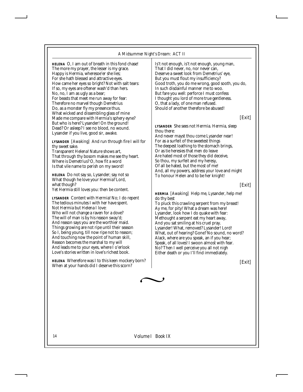#### *A Midsummer Night's Dream: ACT II*

*HELENA* O, I am out of breath in this fond chase! The more my prayer, the lesser is my grace. Happy is Hermia, wheresoe'er she lies; For she hath blessed and attractive eyes. How came her eyes so bright? Not with salt tears: If so, my eyes are oftener wash'd than hers. No, no, I am as ugly as a bear; For beasts that meet me run away for fear: Therefore no marvel though Demetrius Do, as a monster fly my presence thus. What wicked and dissembling glass of mine Made me compare with Hermia's sphery eyne? But who is here? Lysander! On the ground! Dead? Or asleep? I see no blood, no wound. Lysander if you live, good sir, awake.

**LYSANDER** *[Awaking]* And run through fire I will for thy sweet sake.

Transparent Helena! Nature shows art, That through thy bosom makes me see thy heart. Where is Demetrius? O, how fit a word Is that vile name to perish on my sword!

*HELENA* Do not say so, Lysander; say not so What though he love your Hermia? Lord, what though? Yet Hermia still loves you: then be content.

*LYSANDER* Content with Hermia! No; I do repent The tedious minutes I with her have spent. Not Hermia but Helena I love: Who will not change a raven for a dove? The will of man is by his reason sway'd; And reason says you are the worthier maid. Things growing are not ripe until their season So I, being young, till now ripe not to reason; And touching now the point of human skill, Reason becomes the marshal to my will And leads me to your eyes, where I o'erlook Love's stories written in love's richest book.

*HELENA* Wherefore was I to this keen mockery born? When at your hands did I deserve this scorn?

Is't not enough, is't not enough, young man, That I did never, no, nor never can, Deserve a sweet look from Demetrius' eye, But you must flout my insufficiency? Good troth, you do me wrong, good sooth, you do, In such disdainful manner me to woo. But fare you well: perforce I must confess I thought you lord of more true gentleness. O, that a lady, of one man refused. Should of another therefore be abused!

*[Exit]*

*LYSANDER* She sees not Hermia. Hermia, sleep thou there:

And never mayst thou come Lysander near! For as a surfeit of the sweetest things The deepest loathing to the stomach brings, Or as tie heresies that men do leave Are hated most of those they did deceive, So thou, my surfeit and my heresy, Of all be hated, but the most of me! And, all my powers, address your love and might To honour Helen and to be her knight!

*[Exit]*

**HERMIA** *[Awaking]* Help me, Lysander, help me! do thy best To pluck this crawling serpent from my breast! Ay me, for pity! What a dream was here! Lysander, look how I do quake with fear: Methought a serpent eat my heart away, And you sat smiling at his cruel pray. Lysander! What, removed? Lysander! Lord! What, out of hearing? Gone? No sound, no word? Alack, where are you speak, an if you hear; Speak, of all loves! I swoon almost with fear. No? Then I well perceive you all not nigh Either death or you I'll find immediately.

*[Exit]*

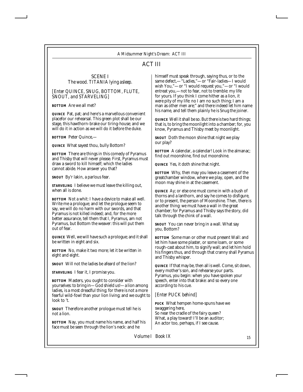## ACT III

#### SCENE I *The wood. TITANIA lying asleep.*

*[Enter QUINCE, SNUG, BOTTOM, FLUTE, SNOUT, and STARVELING]*

*BOTTOM* Are we all met?

*QUINCE* Pat, pat; and here's a marvellous convenient placefor our rehearsal. This green plot shall be our stage, this hawthorn-brake our tiring-house; and we will do it in action as we will do it before the duke.

*BOTTOM* Peter Quince,—

*QUINCE* What sayest thou, bully Bottom?

*BOTTOM* There are things in this comedy of Pyramus and Thisby that will never please. First, Pyramus must draw a sword to kill himself; which the ladies cannot abide. How answer you that?

*SNOUT* By'r lakin, a parlous fear.

*STARVELING* I believe we must leave the killing out, when all is done.

*BOTTOM* Not a whit: I have a device to make all well. Write me a prologue; and let the prologue seem to say, we will do no harm with our swords, and that Pyramus is not killed indeed; and, for the more better assurance, tell them that I, Pyramus, am not Pyramus, but Bottom the weaver: this will put them out of fear.

*QUINCE* Well, we will have such a prologue; and it shall be written in eight and six.

*BOTTOM* No, make it two more; let it be written in eight and eight.

*SNOUT* Will not the ladies be afeard of the lion?

*STARVELING* I fear it, I promise you.

*BOTTOM* Masters, you ought to consider with yourselves: to bring in—God shield us!—a lion among ladies, is a most dreadful thing; for there is not a more fearful wild-fowl than your lion living; and we ought to look to 't.

*SNOUT* Therefore another prologue must tell he is not a lion.

*BOTTOM* Nay, you must name his name, and half his face must be seen through the lion's neck: and he

himself must speak through, saying thus, or to the same defect,—"Ladies,"—or "Fair-ladies—I would wish You,"—or "I would request you,"—or "I would entreat you,—not to fear, not to tremble: my life for yours. If you think I come hither as a lion, it were pity of my life: no I am no such thing; I am a man as other men are;" and there indeed let him name his name, and tell them plainly he is Snug the joiner.

*QUINCE* Well it shall be so. But there is two hard things; that is, to bring the moonlight into a chamber; for, you know, Pyramus and Thisby meet by moonlight.

*SNOUT* Doth the moon shine that night we play our play?

*BOTTOM* A calendar, a calendar! Look in the almanac; find out moonshine, find out moonshine.

*QUINCE* Yes, it doth shine that night.

*BOTTOM* Why, then may you leave a casement of the greatchamber window, where we play, open, and the moon may shine in at the casement.

*QUINCE* Ay; or else one must come in with a bush of thorns and a lanthorn, and say he comes to disfigure, or to present, the person of Moonshine. Then, there is another thing: we must have a wall in the great chamber; for Pyramus and Thisby says the story, did talk through the chink of a wall.

*SNOUT* You can never bring in a wall. What say you, Bottom?

*BOTTOM* Some man or other must present Wall: and let him have some plaster, or some loam, or some rough-cast about him, to signify wall; and let him hold his fingers thus, and through that cranny shall Pyramus and Thisby whisper.

*QUINCE* If that may be, then all is well. Come, sit down, every mother's son, and rehearse your parts. Pyramus, you begin: when you have spoken your speech, enter into that brake: and so every one according to his cue.

#### *[Enter PUCK behind]*

*PUCK* What hempen home-spuns have we swaggering here, So near the cradle of the fairy queen? What, a play toward! I'll be an auditor; An actor too, perhaps, if I see cause.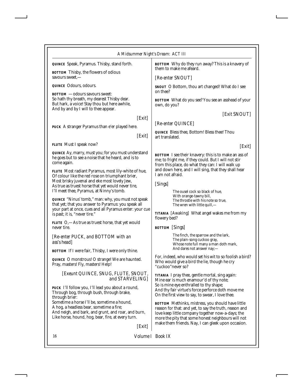| A Midsummer Night's Dream: ACT III                                                                                                                                                                                                                                                                                                                |                                                                                                                                                                                                                                                                            |  |
|---------------------------------------------------------------------------------------------------------------------------------------------------------------------------------------------------------------------------------------------------------------------------------------------------------------------------------------------------|----------------------------------------------------------------------------------------------------------------------------------------------------------------------------------------------------------------------------------------------------------------------------|--|
| QUINCE Speak, Pyramus. Thisby, stand forth.                                                                                                                                                                                                                                                                                                       | <b>BOTTOM</b> Why do they run away? This is a knavery of<br>them to make me afeard.                                                                                                                                                                                        |  |
| <b>BOTTOM</b> Thisby, the flowers of odious<br>savours sweet,—                                                                                                                                                                                                                                                                                    | [Re-enter SNOUT]                                                                                                                                                                                                                                                           |  |
| <i>QUINCE</i> Odours, odours.                                                                                                                                                                                                                                                                                                                     | <i>SNOUT</i> O Bottom, thou art changed! What do I see<br>on thee?                                                                                                                                                                                                         |  |
| <b>BOTTOM</b> — odours savours sweet:<br>So hath thy breath, my dearest Thisby dear.<br>But hark, a voice! Stay thou but here awhile,<br>And by and by I will to thee appear.                                                                                                                                                                     | <b>BOTTOM</b> What do you see? You see an asshead of your<br>own, do you?                                                                                                                                                                                                  |  |
| Exit <br>PUCK A stranger Pyramus than e'er played here.                                                                                                                                                                                                                                                                                           | [Exit SNOUT]<br>[Re-enter QUINCE]<br><i>QUINCE</i> Bless thee, Bottom! Bless thee! Thou                                                                                                                                                                                    |  |
| Exit <br>FLUTE Must I speak now?                                                                                                                                                                                                                                                                                                                  | art translated.                                                                                                                                                                                                                                                            |  |
| QUINCE Ay, marry, must you; for you must understand<br>he goes but to see a noise that he heard, and is to<br>come again.<br><i>FLUTE</i> Most radiant Pyramus, most lily-white of hue,<br>Of colour like the red rose on triumphant brier,<br>Most brisky juvenal and eke most lovely Jew,<br>As true as truest horse that yet would never tire, | [Exit]<br><b>BOTTOM</b> I see their knavery: this is to make an ass of<br>me; to fright me, if they could. But I will not stir<br>from this place, do what they can: I will walk up<br>and down here, and I will sing, that they shall hear<br>I am not afraid.<br>[Sings] |  |
| I'll meet thee, Pyramus, at Ninny's tomb.<br><i>QUINCE</i> "Ninus' tomb," man: why, you must not speak<br>that yet; that you answer to Pyramus: you speak all<br>your part at once, cues and all Pyramus enter: your cue<br>is past; it is, "never tire."                                                                                         | The ousel cock so black of hue,<br>With orange-tawny bill,<br>The throstle with his note so true,<br>The wren with little quill,—<br><b>TITANIA</b> [Awaking] What angel wakes me from my<br>flowery bed?                                                                  |  |
| <i>FLUTE</i> O,—As true as truest horse, that yet would<br>never tire.                                                                                                                                                                                                                                                                            | <b>BOTTOM</b> [Sings]                                                                                                                                                                                                                                                      |  |
| [Re-enter PUCK, and BOTTOM with an<br>ass's head]                                                                                                                                                                                                                                                                                                 | The finch, the sparrow and the lark,<br>The plain-song cuckoo gray,<br>Whose note full many a man doth mark,                                                                                                                                                               |  |
| <b>BOTTOM</b> If I were fair, Thisby, I were only thine.                                                                                                                                                                                                                                                                                          | And dares not answer nay;-                                                                                                                                                                                                                                                 |  |
| QUINCE O monstrous! O strange! We are haunted.<br>Pray, masters! Fly, masters! Help!                                                                                                                                                                                                                                                              | For, indeed, who would set his wit to so foolish a bird?<br>Who would give a bird the lie, though he cry<br>"cuckoo" never so?                                                                                                                                             |  |
| [Exeunt QUINCE, SNUG, FLUTE, SNOUT,<br>and STARVELING]<br>PUCK I'll follow you, I'll lead you about a round,<br>Through bog, through bush, through brake,<br>through brier:                                                                                                                                                                       | TITANIA I pray thee, gentle mortal, sing again:<br>Mine ear is much enamour'd of thy note;<br>So is mine eye enthralled to thy shape;<br>And thy fair virtue's force perforce doth move me<br>On the first view to say, to swear, I love thee.                             |  |
| Sometime a horse I'll be, sometime a hound,<br>A hog, a headless bear, sometime a fire;<br>And neigh, and bark, and grunt, and roar, and burn,<br>Like horse, hound, hog, bear, fire, at every turn.                                                                                                                                              | <b>BOTTOM</b> Methinks, mistress, you should have little<br>reason for that: and yet, to say the truth, reason and<br>love keep little company together now-a-days; the<br>more the pity that some honest neighbours will not                                              |  |

*[Exit]*

16 *Volume I Book IX*

make them friends. Nay, I can gleek upon occasion.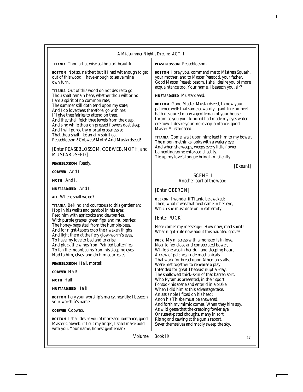*TITANIA* Thou art as wise as thou art beautiful.

*BOTTOM* Not so, neither: but if I had wit enough to get out of this wood, I have enough to serve mine own turn.

*TITANIA* Out of this wood do not desire to go: Thou shalt remain here, whether thou wilt or no. I am a spirit of no common rate; The summer still doth tend upon my state; And I do love thee: therefore, go with me; I'll give thee fairies to attend on thee, And they shall fetch thee jewels from the deep, And sing while thou on pressed flowers dost sleep; And I will purge thy mortal grossness so That thou shalt like an airy spirit go. Peaseblossom! Cobweb! Moth! And Mustardseed!

*[Enter PEASEBLOSSOM, COBWEB, MOTH, and MUSTARDSEED]*

*PEASEBLOSSOM* Ready.

*COBWEB* And I.

*MOTH* And I.

*MUSTARDSEED* And I.

*ALL* Where shall we go?

*TITANIA* Be kind and courteous to this gentleman; Hop in his walks and gambol in his eyes; Feed him with apricocks and dewberries, With purple grapes, green figs, and mulberries; The honey-bags steal from the humble-bees, And for night-tapers crop their waxen thighs And light them at the fiery glow-worm's eyes, To have my love to bed and to arise; And pluck the wings from Painted butterflies To fan the moonbeams from his sleeping eyes: Nod to him, elves, and do him courtesies.

*PEASEBLOSSOM* Hail, mortal!

*COBWEB* Hail!

*MOTH* Hail!

*MUSTARDSEED* Hail!

*BOTTOM* I cry your worship's mercy, heartily: I beseech your worship's name.

*COBWEB* Cobweb.

*BOTTOM* I shall desire you of more acquaintance, good Master Cobweb: if I cut my finger, I shall make bold with you. Your name, honest gentleman?

*PEASEBLOSSOM* Peaseblossom.

*BOTTOM* I pray you, commend me to Mistress Squash, your mother, and to Master Peascod, your father. Good Master Peaseblossom, I shall desire you of more acquaintance too. Your name, I beseech you, sir?

*MUSTARDSEED* Mustardseed.

*BOTTOM* Good Master Mustardseed, I know your patience well: that same cowardly, giant-like ox-beef hath devoured many a gentleman of your house: Ipromise you your kindred had made my eyes water ere now. I desire your more acquaintance, good Master Mustardseed.

*TITANIA* Come, wait upon him; lead him to my bower. The moon methinks looks with a watery eye; And when she weeps, weeps every little flower, Lamenting some enforced chastity. Tie up my love's tongue bring him silently.

*[Exeunt]*

#### SCENE II *Another part of the wood.*

*[Enter OBERON]*

*OBERON* I wonder if Titania be awaked; Then, what it was that next came in her eye, Which she must dote on in extremity.

*[Enter PUCK]*

Here comes my messenger. How now, mad spirit! What night-rule now about this haunted grove?

*PUCK* My mistress with a monster is in love. Near to her close and consecrated bower, While she was in her dull and sleeping hour, A crew of patches, rude mechanicals, That work for bread upon Athenian stalls, Were met together to rehearse a play Intended for great Theseus' nuptial-day. The shallowest thick-skin of that barren sort, Who Pyramus presented, in their sport Forsook his scene and enter'd in a brake When I did him at this advantage take, An ass's nole I fixed on his head: Anon his Thisbe must be answered, And forth my mimic comes. When they him spy, As wild geese that the creeping fowler eye, Or russet-pated choughs, many in sort, Rising and cawing at the gun's report, Sever themselves and madly sweep the sky,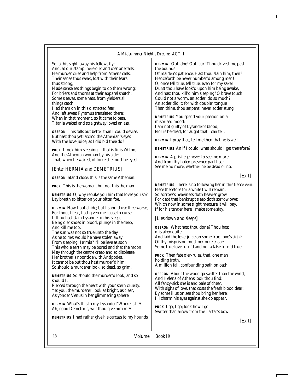So, at his sight, away his fellows fly; And, at our stamp, here o'er and o'er one falls; He murder cries and help from Athens calls. Their sense thus weak, lost with their fears thus strong,

Made senseless things begin to do them wrong; For briers and thorns at their apparel snatch; Some sleeves, some hats, from yielders all things catch.

I led them on in this distracted fear, And left sweet Pyramus translated there: When in that moment, so it came to pass, Titania waked and straightway loved an ass.

*OBERON* This falls out better than I could devise. But hast thou yet latch'd the Athenian's eyes With the love-juice, as I did bid thee do?

*PUCK* I took him sleeping,—that is finish'd too,— And the Athenian woman by his side: That, when he waked, of force she must be eyed.

#### *[Enter HERMIA and DEMETRIUS]*

*OBERON* Stand close: this is the same Athenian.

*PUCK* This is the woman, but not this the man.

*DEMETRIUS* O, why rebuke you him that loves you so? Lay breath so bitter on your bitter foe.

*HERMIA* Now I but chide; but I should use thee worse, For thou, I fear, hast given me cause to curse, If thou hast slain Lysander in his sleep, Being o'er shoes in blood, plunge in the deep, And kill me too.

The sun was not so true unto the day As he to me: would he have stolen away From sleeping Hermia? I'll believe as soon This whole earth may be bored and that the moon May through the centre creep and so displease Her brother's noontide with Antipodes. It cannot be but thou hast murder'd him; So should a murderer look, so dead, so grim.

*DEMETRIUS* So should the murder'd look, and so should I,

Pierced through the heart with your stern cruelty: Yet you, the murderer, look as bright, as clear, As yonder Venus in her glimmering sphere.

*HERMIA* What's this to my Lysander? Where is he? Ah, good Demetrius, wilt thou give him me?

*DEMETRIUS* I had rather give his carcass to my hounds.

*HERMIA* Out, dog! Out, cur! Thou drivest me past the bounds

Of maiden's patience. Hast thou slain him, then? Henceforth be never number'd among men! O, once tell true, tell true, even for my sake! Durst thou have look'd upon him being awake, And hast thou kill'd him sleeping? O brave touch! Could not a worm, an adder, do so much? An adder did it; for with doubler tongue Than thine, thou serpent, never adder stung.

*DEMETRIUS* You spend your passion on a misprised mood: I am not guilty of Lysander's blood; Nor is he dead, for aught that I can tell.

*HERMIA* I pray thee, tell me then that he is well.

*DEMETRIUS* An if I could, what should I get therefore?

*HERMIA* A privilege never to see me more. And from thy hated presence part I so: See me no more, whether he be dead or no.

*[Exit]*

*DEMETRIUS* There is no following her in this fierce vein: Here therefore for a while I will remain. So sorrow's heaviness doth heavier grow For debt that bankrupt sleep doth sorrow owe: Which now in some slight measure it will pay, If for his tender here I make some stay.

#### *[Lies down and sleeps]*

*OBERON* What hast thou done? Thou hast mistaken quite And laid the love-juice on some true-love's sight: Of thy misprision must perforce ensue Some true love turn'd and not a false turn'd true.

*PUCK* Then fate o'er-rules, that, one man holding troth, A million fail, confounding oath on oath.

*OBERON* About the wood go swifter than the wind, And Helena of Athens look thou find: All fancy-sick she is and pale of cheer, With sighs of love, that costs the fresh blood dear: By some illusion see thou bring her here: I'll charm his eyes against she do appear.

*PUCK* I go, I go; look how I go, Swifter than arrow from the Tartar's bow.

*[Exit]*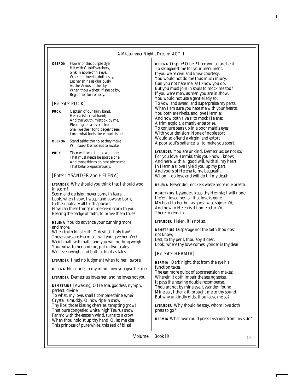| <b>OBERON</b> | Flower of this purple dye,      |
|---------------|---------------------------------|
|               | Hit with Cupid's archery,       |
|               | Sink in apple of his eye.       |
|               | When his love he doth espy,     |
|               | Let her shine as gloriously     |
|               | As the Venus of the sky.        |
|               | When thou wakest, if she be by, |
|               | Beg of her for remedy.          |
|               |                                 |

#### *[Re-enter PUCK]*

*PUCK* Captain of our fairy band, Helena is here at hand; And the youth, mistook by me, Pleading for a lover's fee. Shall we their fond pageant see? Lord, what fools these mortals be!

*OBERON* Stand aside: the noise they make Will cause Demetrius to awake.

*PUCK* Then will two at once woo one: That must needs be sport alone; And those things do best please me That befal preposterously.

#### *[Enter LYSANDER and HELENA]*

*LYSANDER* Why should you think that I should woo in scorn?

Scorn and derision never come in tears: Look, when I vow, I weep; and vows so born, In their nativity all truth appears. How can these things in me seem scorn to you, Bearing the badge of faith, to prove them true?

*HELENA* You do advance your cunning more and more.

When truth kills truth, O devilish-holy fray! These vows are Hermia's: will you give her o'er? Weigh oath with oath, and you will nothing weigh: Your vows to her and me, put in two scales, Will even weigh, and both as light as tales.

*LYSANDER* I had no judgment when to her I swore.

*HELENA* Nor none, in my mind, now you give her o'er.

*LYSANDER* Demetrius loves her, and he loves not you.

**DEMETRIUS** *[Awaking]* O Helena, goddess, nymph, perfect, divine!

To what, my love, shall I compare thine eyne? Crystal is muddy. O, how ripe in show Thy lips, those kissing cherries, tempting grow! That pure congealed white, high Taurus snow, Fann'd with the eastern wind, turns to a crow When thou hold'st up thy hand: O, let me kiss This princess of pure white, this seal of bliss!

*HELENA* O spite! O hell! I see you all are bent To set against me for your merriment: If you we re civil and knew courtesy, You would not do me thus much injury. Can you not hate me, as I know you do, But you must join in souls to mock me too? If you were men, as men you are in show, You would not use a gentle lady so; To vow, and swear, and superpraise my parts, When I am sure you hate me with your hearts. You both are rivals, and love Hermia; And now both rivals, to mock Helena: A trim exploit, a manly enterprise, To conjure tears up in a poor maid's eyes With your derision! None of noble sort Would so offend a virgin, and extort A poor soul's patience, all to make you sport.

*LYSANDER* You are unkind, Demetrius; be not so; For you love Hermia; this you know I know: And here, with all good will, with all my heart, In Hermia's love I yield you up my part; And yours of Helena to me bequeath, Whom I do love and will do till my death.

*HELENA* Never did mockers waste more idle breath.

*DEMETRIUS* Lysander, keep thy Hermia; I will none: If e'er I loved her, all that love is gone. My heart to her but as guest-wise sojourn'd, And now to Helen is it home return'd, There to remain.

*LYSANDER* Helen, it is not so.

*DEMETRIUS* Disparage not the faith thou dost not know, Lest, to thy peril, thou aby it dear. Look, where thy love comes; yonder is thy dear.

#### *[Re-enter HERMIA]*

*HERMIA* Dark night, that from the eye his function takes, The ear more quick of apprehension makes; Wherein it doth impair the seeing sense, It pays the hearing double recompense. Thou art not by mine eye, Lysander, found; Mine ear, I thank it, brought me to thy sound But why unkindly didst thou leave me so?

*LYSANDER* Why should he stay, whom love doth press to go?

*HERMIA* What love could press Lysander from my side?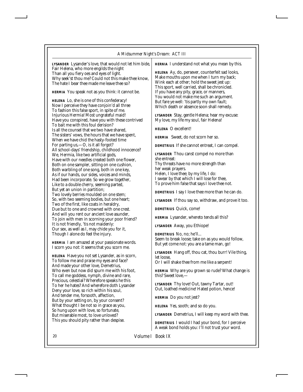#### *A Midsummer Night's Dream: ACT III*

| <i>LYSANDER</i> Lysander's love, that would not let him bide, | HERNIA I understand not what you mean by this.                                                |
|---------------------------------------------------------------|-----------------------------------------------------------------------------------------------|
| Fair Helena, who more engilds the night                       |                                                                                               |
| Than all you fiery oes and eyes of light.                     | HELENA Ay, do, persever, counterfeit sad looks,                                               |
| Why seek'st thou me? Could not this make thee know,           | Make mouths upon me when I turn my back;                                                      |
| The hate I bear thee made me leave thee so?                   | Wink each at other; hold the sweet jest up:<br>This sport, well carried, shall be chronicled. |
| HERMIA You speak not as you think: it cannot be.              | If you have any pity, grace, or manners,<br>You would not make me such an argument.           |
| <i>HELENA</i> Lo, she is one of this confederacy!             | But fare ye well: 'tis partly my own fault;                                                   |
| Now I perceive they have conjoin'd all three                  | Which death or absence soon shall remedy.                                                     |
| To fashion this false sport, in spite of me.                  |                                                                                               |
| Injurious Hermia! Most ungrateful maid!                       | LYSANDER Stay, gentle Helena; hear my excuse:                                                 |
| Have you conspired, have you with these contrived             | My love, my life my soul, fair Helena!                                                        |
| To bait me with this foul derision?                           |                                                                                               |
| Is all the counsel that we two have shared,                   | HELENA O excellent!                                                                           |
| The sisters' vows, the hours that we have spent,              | <i>HERMIA</i> Sweet, do not scorn her so.                                                     |
| When we have chid the hasty-footed time                       |                                                                                               |
| For parting us, - O, is it all forgot?                        | DEMETRIUS If she cannot entreat, I can compel.                                                |
| All school-days' friendship, childhood innocence?             |                                                                                               |
| We, Hermia, like two artificial gods,                         | LYSANDER Thou canst compel no more than                                                       |
| Have with our needles created both one flower,                | she entreat:                                                                                  |
| Both on one sampler, sitting on one cushion,                  | Thy threats have no more strength than                                                        |
| Both warbling of one song, both in one key,                   | her weak prayers.                                                                             |
| As if our hands, our sides, voices and minds,                 | Helen, I love thee; by my life, I do:                                                         |
| Had been incorporate. So we grow together,                    | I swear by that which I will lose for thee,                                                   |
| Like to a double cherry, seeming parted,                      | To prove him false that says I love thee not.                                                 |
| But yet an union in partition;                                | DEMETRIUS I say I love thee more than he can do.                                              |
| Two lovely berries moulded on one stem;                       |                                                                                               |
| So, with two seeming bodies, but one heart;                   | <i>LYSANDER</i> If thou say so, withdraw, and prove it too.                                   |
| Two of the first, like coats in heraldry,                     |                                                                                               |
| Due but to one and crowned with one crest.                    | <i>DEMETRIUS</i> Quick, come!                                                                 |
| And will you rent our ancient love asunder,                   | HERMIA Lysander, whereto tends all this?                                                      |
| To join with men in scorning your poor friend?                |                                                                                               |
| It is not friendly, 'tis not maidenly:                        | LYSANDER Away, you Ethiope!                                                                   |
| Our sex, as well as I, may chide you for it,                  |                                                                                               |
| Though I alone do feel the injury.                            | DEMETRIUS No, no; he'll                                                                       |
| <i>HERMIA</i> I am amazed at your passionate words.           | Seem to break loose; take on as you would follow,                                             |
| I scorn you not: it seems that you scorn me.                  | But yet come not: you are a tame man, go!                                                     |
|                                                               | LYSANDER Hang off, thou cat, thou burr! Vile thing,                                           |
| <i>HELENA</i> Have you not set Lysander, as in scorn,         | let loose.                                                                                    |
| To follow me and praise my eyes and face?                     | Or I will shake thee from me like a serpent!                                                  |
| And made your other love, Demetrius,                          |                                                                                               |
| Who even but now did spurn me with his foot,                  | HERMIA Why are you grown so rude? What change is                                              |
| To call me goddess, nymph, divine and rare,                   | this? Sweet love.—                                                                            |
| Precious, celestial? Wherefore speaks he this                 |                                                                                               |
| To her he hates? And wherefore doth Lysander                  | LYSANDER Thy love! Out, tawny Tartar, out!<br>Out, loathed medicine! Hated potion, hence!     |
| Deny your love, so rich within his soul,                      |                                                                                               |
| And tender me, forsooth, affection,                           | <i>HERMIA</i> Do you not jest?                                                                |
| But by your setting on, by your consent?                      |                                                                                               |
| What thought I be not so in grace as you,                     | <i>HELENA</i> Yes, sooth; and so do you.                                                      |

*LYSANDER* Demetrius, I will keep my word with thee.

*DEMETRIUS* I would I had your bond, for I perceive A weak bond holds you: I'll not trust your word.

20 *Volume I Book IX*

So hung upon with love, so fortunate, But miserable most, to love unloved? This you should pity rather than despise.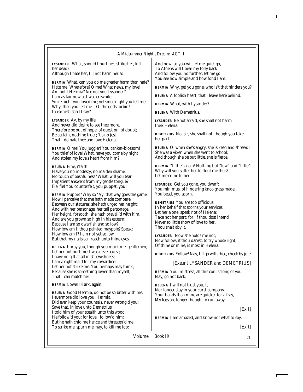*LYSANDER* What, should I hurt her, strike her, kill her dead?

Although I hate her, I'll not harm her so.

*HERMIA* What, can you do me greater harm than hate? Hate me! Wherefore? O me! What news, my love! Am not I Hermia? Are not you Lysander? I am as fair now as I was erewhile. Since night you loved me; yet since night you left me: Why, then you left me—O, the gods forbid!— In earnest, shall I say?

*LYSANDER* Ay, by my life; And never did desire to see thee more. Therefore be out of hope, of question, of doubt; Be certain, nothing truer; 'tis no jest That I do hate thee and love Helena.

*HERMIA* O me! You juggler! You canker-blossom! You thief of love! What, have you come by night And stolen my love's heart from him?

*HELENA* Fine, i'faith! Have you no modesty, no maiden shame, No touch of bashfulness? What, will you tear Impatient answers from my gentle tongue? Fie, fie! You counterfeit, you puppet, you!

*HERMIA* Puppet? Why so? Ay, that way goes the game. Now I perceive that she hath made compare Between our statures; she hath urged her height; And with her personage, her tall personage, Her height, forsooth, she hath prevail'd with him. And are you grown so high in his esteem; Because I am so dwarfish and so low? How low am I, thou painted maypole? Speak; How low am I? I am not yet so low But that my nails can reach unto thine eyes.

*HELENA* I pray you, though you mock me, gentlemen, Let her not hurt me: I was never curst; I have no gift at all in shrewishness; I am a right maid for my cowardice: Let her not strike me. You perhaps may think, Because she is something lower than myself, That I can match her.

*HERMIA* Lower! Hark, again.

*HELENA* Good Hermia, do not be so bitter with me. I evermore did love you, Hermia, Did ever keep your counsels, never wrong'd you; Save that, in love unto Demetrius, I told him of your stealth unto this wood. He follow'd you; for love I follow'd him; But he hath chid me hence and threaten'd me To strike me, spurn me, nay, to kill me too:

And now, so you will let me quiet go, To Athens will I bear my folly back And follow you no further: let me go: You see how simple and how fond I am.

*HERMIA* Why, get you gone: who is't that hinders you?

*HELENA* A foolish heart, that I leave here behind.

*HERMIA* What, with Lysander?

*HELENA* With Demetrius.

*LYSANDER* Be not afraid; she shall not harm thee, Helena.

*DEMETRIUS* No, sir, she shall not, though you take her part.

*HELENA* O, when she's angry, she is keen and shrewd! She was a vixen when she went to school; And though she be but little, she is fierce.

*HERMIA* "Little" again! Nothing but "low" and "little"! Why will you suffer her to flout me thus? Let me come to her.

*LYSANDER* Get you gone, you dwarf; You minimus, of hindering knot-grass made; You bead, you acorn.

*DEMETRIUS* You are too officious In her behalf that scorns your services. Let her alone: speak not of Helena; Take not her part; for, if thou dost intend Never so little show of love to her, Thou shalt aby it.

*LYSANDER* Now she holds me not; Now follow, if thou darest, to try whose right, Of thine or mine, is most in Helena.

*DEMETRIUS* Follow! Nay, I'll go with thee, cheek by jole.

#### *[Exeunt LYSANDER and DEMETRIUS]*

*HERMIA* You, mistress, all this coil is 'long of you: Nay, go not back.

*HELENA* I will not trust you, I, Nor longer stay in your curst company. Your hands than mine are quicker for a fray, My legs are longer though, to run away.

*[Exit]*

*HERMIA* I am amazed, and know not what to say.

*[Exit]*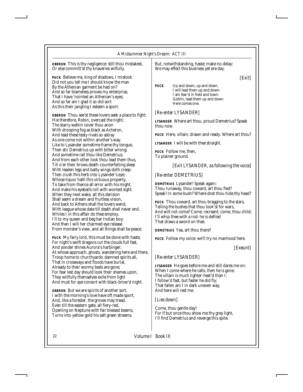*OBERON* This is thy negligence: still thou mistakest, Or else committ'st thy knaveries wilfully.

*PUCK* Believe me, king of shadows, I mistook. Did not you tell me I should know the man By the Athenian garment be had on? And so far blameless proves my enterprise, That I have 'nointed an Athenian's eyes; And so far am I glad it so did sort As this their jangling I esteem a sport.

*OBERON* Thou see'st these lovers seek a place to fight: Hie therefore, Robin, overcast the night; The starry welkin cover thou anon With drooping fog as black as Acheron, And lead these testy rivals so astray As one come not within another's way. Like to Lysander sometime frame thy tongue, Then stir Demetrius up with bitter wrong; And sometime rail thou like Demetrius; And from each other look thou lead them thus, Till o'er their brows death-counterfeiting sleep With leaden legs and batty wings doth creep: Then crush this herb into Lysander's eye; Whose liquor hath this virtuous property, To take from thence all error with his might, And make his eyeballs roll with wonted sight. When they next wake, all this derision Shall seem a dream and fruitless vision, And back to Athens shall the lovers wend, With league whose date till death shall never end. Whiles I in this affair do thee employ, I'll to my queen and beg her Indian boy; And then I will her charmed eye release From monster's view, and all things shall be peace.

*PUCK* My fairy lord, this must be done with haste, For night's swift dragons cut the clouds full fast, And yonder shines Aurora's harbinger; At whose approach, ghosts, wandering here and there, Troop home to churchyards: damned spirits all, That in crossways and floods have burial, Already to their wormy beds are gone; For fear lest day should look their shames upon, They willfully themselves exile from light And must for aye consort with black-brow'd night.

*OBERON* But we are spirits of another sort: I with the morning's love have oft made sport, And, like a forester, the groves may tread, Even till the eastern gate, all fiery-red, Opening on Neptune with fair blessed beams, Turns into yellow gold his salt green streams.

But, notwithstanding, haste; make no delay: We may effect this business yet ere day.

*[Exit]*

*PUCK* Up and down, up and down, I will lead them up and down: I am fear'd in field and town: Goblin, lead them up and down. Here comes one.

#### *[Re-enter LYSANDER]*

*LYSANDER* Where art thou, proud Demetrius? Speak thou now.

*PUCK* Here, villain; drawn and ready. Where art thou?

*LYSANDER* I will be with thee straight.

*PUCK* Follow me, then, To plainer ground.

#### *[Exit LYSANDER, as following the voice]*

#### *[Re-enter DEMETRIUS]*

*DEMETRIUS* Lysander! Speak again: Thou runaway, thou coward, art thou fled? Speak! In some bush? Where dost thou hide thy head?

*PUCK* Thou coward, art thou bragging to the stars, Telling the bushes that thou look'st for wars, And wilt not come? Come, recreant; come, thou child; I'll whip thee with a rod: he is defiled That draws a sword on thee.

*DEMETRIUS* Yea, art thou there?

*PUCK* Follow my voice: we'll try no manhood here.

*[Exeunt]*

#### *[Re-enter LYSANDER]*

*LYSANDER* He goes before me and still dares me on: When I come where he calls, then he is gone. The villain is much lighter-heel'd than I: I follow'd fast, but faster he did fly; That fallen am I in dark uneven way, And here will rest me.

#### *[Lies down]*

Come, thou gentle day! For if but once thou show me thy grey light, I'll find Demetrius and revenge this spite.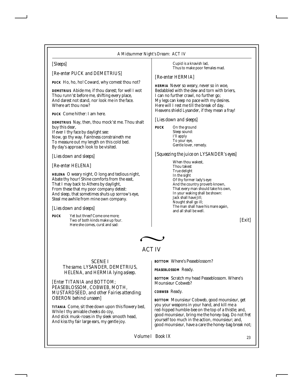#### *A Midsummer Night's Dream: ACT IV*

#### *[Sleeps]*

*[Re-enter PUCK and DEMETRIUS]*

*PUCK* Ho, ho, ho! Coward, why comest thou not?

*DEMETRIUS* Abide me, if thou darest; for well I wot Thou runn'st before me, shifting every place, And darest not stand, nor look me in the face. Where art thou now?

*PUCK* Come hither: I am here.

*DEMETRIUS* Nay, then, thou mock'st me. Thou shalt buy this dear, If ever I thy face by daylight see:

Now, go thy way. Faintness constraineth me To measure out my length on this cold bed. By day's approach look to be visited.

*[Lies down and sleeps]*

*[Re-enter HELENA]*

*HELENA* O weary night, O long and tedious night, Abate thy hour! Shine comforts from the east, That I may back to Athens by daylight, From these that my poor company detest: And sleep, that sometimes shuts up sorrow's eye, Steal me awhile from mine own company.

#### *[Lies down and sleeps]*

*PUCK* Yet but three? Come one more; Two of both kinds make up four. Here she comes, curst and sad:

Cupid is a knavish lad, Thus to make poor females mad.

#### *[Re-enter HERMIA]*

*HERMIA* Never so weary, never so in woe, Bedabbled with the dew and torn with briers, I can no further crawl, no further go; My legs can keep no pace with my desires. Here will I rest me till the break of day. Heavens shield Lysander, if they mean a fray!

#### *[Lies down and sleeps]*

*PUCK* On the ground Sleep sound: I'll apply To your eye, Gentle lover, remedy.

*[Squeezing the juice on LYSANDER's eyes]*

When thou wakest, Thou takest True delight In the sight Of thy former lady's eye: And the country proverb known, That every man should take his own, In your waking shall be shown: Jack shall have Jill; Nought shall go ill; The man shall have his mare again, and all shall be well.

*[Exit]*



ACT IV

SCENE I *The same. LYSANDER, DEMETRIUS, HELENA, and HERMIA lying asleep.*

*[Enter TITANIA and BOTTOM; PEASEBLOSSOM, COBWEB, MOTH, MUSTARDSEED, and other Fairies attending; OBERON behind unseen]*

*TITANIA* Come, sit thee down upon this flowery bed, While I thy amiable cheeks do coy, And stick musk-roses in thy sleek smooth head, And kiss thy fair large ears, my gentle joy.

*BOTTOM* Where's Peaseblossom?

*PEASEBLOSSOM* Ready.

*BOTTOM* Scratch my head Peaseblossom. Where's Mounsieur Cobweb?

*COBWEB* Ready.

*BOTTOM* Mounsieur Cobweb, good mounsieur, get you your weapons in your hand, and kill me a red-hipped humble-bee on the top of a thistle; and, good mounsieur, bring me the honey-bag. Do not fret yourself too much in the action, mounsieur; and, good mounsieur, have a care the honey-bag break not;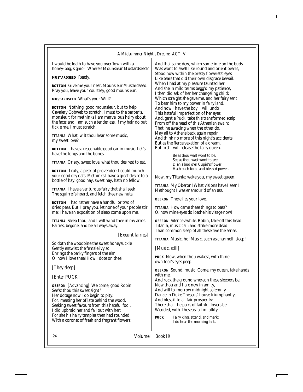I would be loath to have you overflown with a honey-bag, signior. Where's Mounsieur Mustardseed?

*MUSTARDSEED* Ready.

*BOTTOM* Give me your neaf, Mounsieur Mustardseed. Pray you, leave your courtesy, good mounsieur.

*MUSTARDSEED* What's your Will?

*BOTTOM* Nothing, good mounsieur, but to help Cavalery Cobweb to scratch. I must to the barber's, monsieur; for methinks I am marvellous hairy about the face; and I am such a tender ass, if my hair do but tickle me, I must scratch.

*TITANIA* What, wilt thou hear some music, my sweet love?

*BOTTOM* I have a reasonable good ear in music. Let's have the tongs and the bones.

*TITANIA* Or say, sweet love, what thou desirest to eat.

*BOTTOM* Truly, a peck of provender: I could munch your good dry oats. Methinks I have a great desire to a bottle of hay: good hay, sweet hay, hath no fellow.

*TITANIA* I have a venturous fairy that shall seek The squirrel's hoard, and fetch thee new nuts.

*BOTTOM* I had rather have a handful or two of dried peas. But, I pray you, let none of your people stir me: I have an exposition of sleep come upon me.

*TITANIA* Sleep thou, and I will wind thee in my arms. Fairies, begone, and be all ways away.

*[Exeunt fairies]*

So doth the woodbine the sweet honeysuckle Gently entwist; the female ivy so Enrings the barky fingers of the elm. O, how I love thee! How I dote on thee!

*[They sleep]*

#### *[Enter PUCK]*

*OBERON [Advancing]* Welcome, good Robin. See'st thou this sweet sight? Her dotage now I do begin to pity: For, meeting her of late behind the wood, Seeking sweet favours from this hateful fool, I did upbraid her and fall out with her; For she his hairy temples then had rounded With a coronet of fresh and fragrant flowers;

And that same dew, which sometime on the buds Was wont to swell like round and orient pearls, Stood now within the pretty flowerets' eyes Like tears that did their own disgrace bewail. When I had at my pleasure taunted her And she in mild terms begg'd my patience, I then did ask of her her changeling child; Which straight she gave me, and her fairy sent To bear him to my bower in fairy land. And now I have the boy, I will undo This hateful imperfection of her eyes: And, gentle Puck, take this transformed scalp From off the head of this Athenian swain; That, he awaking when the other do, May all to Athens back again repair And think no more of this night's accidents But as the fierce vexation of a dream. But first I will release the fairy queen.

> Be as thou wast wont to be; See as thou wast wont to see: Dian's bud o'er Cupid's flower Hath such force and blessed power.

Now, my Titania; wake you, my sweet queen.

*TITANIA* My Oberon! What visions have I seen! Methought I was enamour'd of an ass.

*OBERON* There lies your love.

*TITANIA* How came these things to pass? O, how mine eyes do loathe his visage now!

*OBERON* Silence awhile. Robin, take off this head. Titania, music call; and strike more dead Than common sleep of all these five the sense.

*TITANIA* Music, ho! Music, such as charmeth sleep!

*[Music, still]*

*PUCK* Now, when thou wakest, with thine own fool's eyes peep.

*OBERON* Sound, music! Come, my queen, take hands with me,

And rock the ground whereon these sleepers be. Now thou and I are new in amity, And will to-morrow midnight solemnly Dance in Duke Theseus' house triumphantly, And bless it to all fair prosperity: There shall the pairs of faithful lovers be Wedded, with Theseus, all in jollity.

*PUCK* Fairy king, attend, and mark: I do hear the morning lark.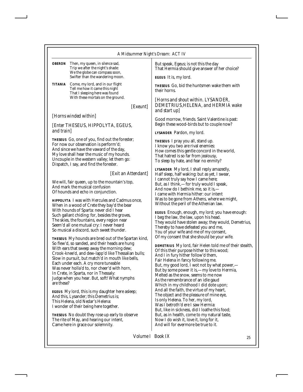|                                                                                                                                                                                                 | <b><i>OBERON</i></b> Then, my queen, in silence sad,<br>Trip we after the night's shade:<br>We the globe can compass soon,<br>Swifter than the wandering moon.                                                                                                                                                                                                                                                                                         | But speak, Egeus; is not this the day<br>That Hermia should give answer of her choice?<br>EGEUS It is, my lord.                                                                                                                                                                                                                                                                                                                                      |
|-------------------------------------------------------------------------------------------------------------------------------------------------------------------------------------------------|--------------------------------------------------------------------------------------------------------------------------------------------------------------------------------------------------------------------------------------------------------------------------------------------------------------------------------------------------------------------------------------------------------------------------------------------------------|------------------------------------------------------------------------------------------------------------------------------------------------------------------------------------------------------------------------------------------------------------------------------------------------------------------------------------------------------------------------------------------------------------------------------------------------------|
| <b>TITANIA</b>                                                                                                                                                                                  | Come, my lord, and in our flight<br>Tell me how it came this night<br>That I sleeping here was found                                                                                                                                                                                                                                                                                                                                                   | THESEUS Go, bid the huntsmen wake them with<br>their horns.                                                                                                                                                                                                                                                                                                                                                                                          |
|                                                                                                                                                                                                 | With these mortals on the ground.<br>[Exeunt]                                                                                                                                                                                                                                                                                                                                                                                                          | [Horns and shout within. LYSANDER,<br>DEMETRIUS, HELENA, and HERMIA wake<br>and start up]                                                                                                                                                                                                                                                                                                                                                            |
| [Horns winded within]<br>[Enter THESEUS, HIPPOLYTA, EGEUS,<br>and train]                                                                                                                        |                                                                                                                                                                                                                                                                                                                                                                                                                                                        | Good morrow, friends. Saint Valentine is past:                                                                                                                                                                                                                                                                                                                                                                                                       |
|                                                                                                                                                                                                 |                                                                                                                                                                                                                                                                                                                                                                                                                                                        | Begin these wood-birds but to couple now?<br>LYSANDER Pardon, my lord.                                                                                                                                                                                                                                                                                                                                                                               |
|                                                                                                                                                                                                 | THESEUS Go, one of you, find out the forester;<br>For now our observation is perform'd;<br>And since we have the vaward of the day,<br>My love shall hear the music of my hounds.<br>Uncouple in the western valley; let them go:<br>Dispatch, I say, and find the forester.                                                                                                                                                                           | THESEUS I pray you all, stand up.<br>I know you two are rival enemies:<br>How comes this gentle concord in the world,<br>That hatred is so far from jealousy,<br>To sleep by hate, and fear no enmity?                                                                                                                                                                                                                                               |
| [Exit an Attendant]<br>We will, fair queen, up to the mountain's top,<br>And mark the musical confusion<br>Of hounds and echo in conjunction.<br>HIPPOLYTA I was with Hercules and Cadmus once, |                                                                                                                                                                                                                                                                                                                                                                                                                                                        | LYSANDER My lord, I shall reply amazedly,<br>Half sleep, half waking: but as yet, I swear,<br>I cannot truly say how I came here;<br>But, as I think, -- for truly would I speak,<br>And now do I bethink me, so it is,-<br>I came with Hermia hither: our intent<br>Was to be gone from Athens, where we might,                                                                                                                                     |
|                                                                                                                                                                                                 | When in a wood of Crete they bay'd the bear<br>With hounds of Sparta: never did I hear<br>Such gallant chiding: for, besides the groves,<br>The skies, the fountains, every region near<br>Seem'd all one mutual cry: I never heard<br>So musical a discord, such sweet thunder.                                                                                                                                                                       | Without the peril of the Athenian law.<br><b>EGEUS</b> Enough, enough, my lord; you have enough:<br>I beg the law, the law, upon his head.<br>They would have stolen away; they would, Demetrius<br>Thereby to have defeated you and me,<br>You of your wife and me of my consent,<br>Of my consent that she should be your wife.                                                                                                                    |
| are these?                                                                                                                                                                                      | <i>THESEUS</i> My hounds are bred out of the Spartan kind,<br>So flew'd, so sanded, and their heads are hung<br>With ears that sweep away the morning dew;<br>Crook-knee'd, and dew-lapp'd like Thessalian bulls;<br>Slow in pursuit, but match'd in mouth like bells,<br>Each under each. A cry more tuneable<br>Was never holla'd to, nor cheer'd with horn,<br>In Crete, in Sparta, nor in Thessaly:<br>Judge when you hear. But, soft! What nymphs | DEMETRIUS My lord, fair Helen told me of their stealt<br>Of this their purpose hither to this wood;<br>And I in fury hither follow'd them,<br>Fair Helena in fancy following me.<br>But, my good lord, I wot not by what power,—<br>But by some power it is,-my love to Hermia,<br>Melted as the snow, seems to me now<br>As the remembrance of an idle gaud<br>Which in my childhood I did dote upon;<br>And all the faith, the virtue of my heart, |
|                                                                                                                                                                                                 | <i>EGEUS</i> My lord, this is my daughter here as leep;<br>And this, Lysander; this Demetrius is;                                                                                                                                                                                                                                                                                                                                                      | The object and the pleasure of mine eye,                                                                                                                                                                                                                                                                                                                                                                                                             |

This Helena, old Nedar's Helena: I wonder of their being here together.

*THESEUS* No doubt they rose up early to observe The rite of May, and hearing our intent, Came here in grace our solemnity.

*DEMETRIUS* My lord, fair Helen told me of their stealth, Is only Helena. To her, my lord, Was I betroth'd ere I saw Hermia: But, like in sickness, did I loathe this food; But, as in health, come to my natural taste, Now I do wish it, love it, long for it, And will for evermore be true to it.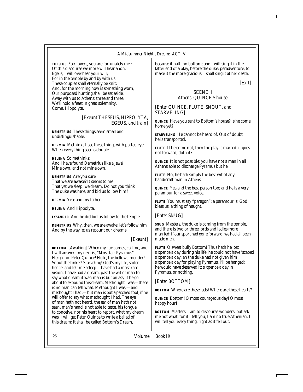#### *A Midsummer Night's Dream: ACT IV*

*THESEUS* Fair lovers, you are fortunately met: Of this discourse we more will hear anon. Egeus, I will overbear your will; For in the temple by and by with us These couples shall eternally be knit: And, for the morning now is something worn, Our purposed hunting shall be set aside. Away with us to Athens; three and three, We'll hold a feast in great solemnity. Come, Hippolyta.

> *[Exeunt THESEUS, HIPPOLYTA, EGEUS, and train]*

*DEMETRIUS* These things seem small and undistinguishable,

*HERMIA* Methinks I see these things with parted eye, When every thing seems double.

*HELENA* So methinks: And I have found Demetrius like a jewel, Mine own, and not mine own.

*DEMETRIUS* Are you sure That we are awake? It seems to me That yet we sleep, we dream. Do not you think The duke was here, and bid us follow him?

*HERMIA* Yea; and my father.

*HELENA* And Hippolyta.

*LYSANDER* And he did bid us follow to the temple.

*DEMETRIUS* Why, then, we are awake: let's follow him And by the way let us recount our dreams.

#### *[Exeunt]*

*BOTTOM [Awaking]* When my cue comes, call me, and I will answer: my next is, "Most fair Pyramus". Heigh-ho! Peter Quince! Flute, the bellows-mender! Snout,the tinker! Starveling! God's my life, stolen hence, and left me asleep! I have had a most rare vision. I have had a dream, past the wit of man to say what dream it was: man is but an ass, if he go about to expound this dream. Methought I was—there is no man can tell what. Methought I was,—and methought I had,—but man is but a patched fool, if he will offer to say what methought I had. The eye of man hath not heard, the ear of man hath not seen, man's hand is not able to taste, his tongue to conceive, nor his heart to report, what my dream was. I will get Peter Quince to write a ballad of this dream: it shall be called Bottom's Dream,

because it hath no bottom; and I will sing it in the latter end of a play, before the duke: peradventure, to make it the more gracious, I shall sing it at her death.

*[Exit]*

#### SCENE II *Athens. QUINCE'S house.*

*[Enter QUINCE, FLUTE, SNOUT, and STARVELING]*

*QUINCE* Have you sent to Bottom's house? Is he come home yet?

*STARVELING* He cannot be heard of. Out of doubt he is transported.

*FLUTE* If he come not, then the play is marred: it goes not forward, doth it?

*QUINCE* It is not possible: you have not a man in all Athens able to discharge Pyramus but he.

*FLUTE* No, he hath simply the best wit of any handicraft man in Athens.

*QUINCE* Yea and the best person too; and he is a very paramour for a sweet voice.

*FLUTE* You must say "paragon": a paramour is, God bless us, a thing of naught.

#### *[Enter SNUG]*

*SNUG* Masters, the duke is coming from the temple, and there is two or three lords and ladies more married: if our sport had gone forward, we had all been made men.

*FLUTE* O sweet bully Bottom! Thus hath he lost sixpence a day during his life; he could not have 'scaped sixpence a day: an the duke had not given him sixpence a day for playing Pyramus, I'll be hanged; he would have deserved it: sixpence a day in Pyramus, or nothing.

#### *[Enter BOTTOM]*

*BOTTOM* Where are these lads? Where are these hearts?

*QUINCE* Bottom! O most courageous day! O most happy hour!

*BOTTOM* Masters, I am to discourse wonders: but ask me not what; for if I tell you, I am no true Athenian. I will tell you every thing, right as it fell out.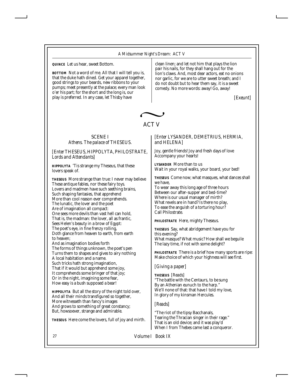*QUINCE* Let us hear, sweet Bottom.

*BOTTOM* Not a word of me. All that I will tell you is, that the duke hath dined. Get your apparel together, good strings to your beards, new ribbons to your pumps; meet presently at the palace; every man look o'er his part; for the short and the long is, our play is preferred. In any case, let Thisby have

clean linen; and let not him that plays the lion pair his nails, for they shall hang out for the lion's claws. And, most dear actors, eat no onions nor garlic, for we are to utter sweet breath; and I do not doubt but to hear them say, it is a sweet comedy. No more words: away! Go, away!

*[Exeunt]*



### ACT V

#### SCENE I *Athens. The palace of THESEUS.*

#### *[Enter THESEUS, HIPPOLYTA, PHILOSTRATE, Lords and Attendants]*

*HIPPOLYTA* 'Tis strange my Theseus, that these lovers speak of.

*THESEUS* More strange than true: I never may believe These antique fables, nor these fairy toys. Lovers and madmen have such seething brains, Such shaping fantasies, that apprehend More than cool reason ever comprehends. The lunatic, the lover and the poet Are of imagination all compact: One sees more devils than vast hell can hold, That is, the madman: the lover, all as frantic, Sees Helen's beauty in a brow of Egypt: The poet's eye, in fine frenzy rolling, Doth glance from heaven to earth, from earth to heaven; And as imagination bodies forth The forms of things unknown, the poet's pen Turns them to shapes and gives to airy nothing A local habitation and a name. Such tricks hath strong imagination, That if it would but apprehend some joy, It comprehends some bringer of that joy; Or in the night, imagining some fear,

How easy is a bush supposed a bear!

*HIPPOLYTA* But all the story of the night told over, And all their minds transfigured so together, More witnesseth than fancy's images And grows to something of great constancy; But, howsoever, strange and admirable.

*THESEUS* Here come the lovers, full of joy and mirth.

#### *[Enter LYSANDER, DEMETRIUS, HERMIA, and HELENA]*

Joy, gentle friends! Joy and fresh days of love Accompany your hearts!

*LYSANDER* More than to us Wait in your royal walks, your board, your bed!

*THESEUS* Come now; what masques, what dances shall we have,

To wear away this long age of three hours Between our after-supper and bed-time? Where is our usual manager of mirth? What revels are in hand? Is there no play, To ease the anguish of a torturing hour? Call Philostrate.

*PHILOSTRATE* Here, mighty Theseus.

*THESEUS* Say, what abridgement have you for this evening? What masque? What music? How shall we beguile The lazy time, if not with some delight?

*PHILOSTRATE* There is a brief how many sports are ripe: Make choice of which your highness will see first.

#### *[Giving a paper]*

**THESEUS** *[Reads]*  "The battle with the Centaurs, to be sung By an Athenian eunuch to the harp." We'll none of that: that have I told my love, In glory of my kinsman Hercules.

#### *[Reads]*

"The riot of the tipsy Bacchanals, Tearing the Thracian singer in their rage." That is an old device; and it was play'd When I from Thebes came last a conqueror.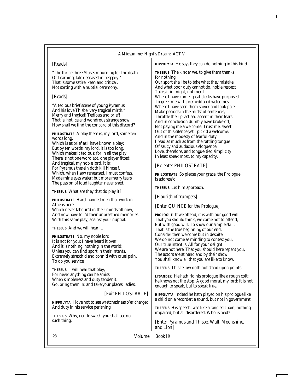#### *A Midsummer Night's Dream: ACT V*

#### *[Reads]*

"The thrice three Muses mourning for the death Of Learning, late deceased in beggary." That is some satire, keen and critical, Not sorting with a nuptial ceremony.

#### *[Reads]*

"A tedious brief scene of young Pyramus And his love Thisbe; very tragical mirth." Merry and tragical! Tedious and brief! That is, hot ice and wondrous strange snow. How shall we find the concord of this discord?

*PHILOSTRATE* A play there is, my lord, some ten words long,

Which is as brief as I have known a play; But by ten words, my lord, it is too long, Which makes it tedious; for in all the play There is not one word apt, one player fitted: And tragical, my noble lord, it is; For Pyramus therein doth kill himself. Which, when I saw rehearsed, I must confess, Made mine eyes water; but more merry tears The passion of loud laughter never shed.

*THESEUS* What are they that do play it?

*PHILOSTRATE* Hard-handed men that work in Athens here,

Which never labour'd in their minds till now, And now have toil'd their unbreathed memories With this same play, against your nuptial.

*THESEUS* And we will hear it.

*PHILOSTRATE* No, my noble lord; It is not for you: I have heard it over, And it is nothing, nothing in the world; Unless you can find sport in their intents, Extremely stretch'd and conn'd with cruel pain, To do you service.

*THESEUS* I will hear that play; For never anything can be amiss, When simpleness and duty tender it. Go, bring them in: and take your places, ladies.

#### *[Exit PHILOSTRATE]*

*HIPPOLYTA* I love not to see wretchedness o'er charged And duty in his service perishing.

*THESEUS* Why, gentle sweet, you shall see no such thing.

*HIPPOLYTA* He says they can do nothing in this kind.

*THESEUS* The kinder we, to give them thanks for nothing.

Our sport shall be to take what they mistake: And what poor duty cannot do, noble respect Takes it in might, not merit. Where I have come, great clerks have purposed To greet me with premeditated welcomes; Where I have seen them shiver and look pale, Make periods in the midst of sentences, Throttle their practised accent in their fears And in conclusion dumbly have broke off, Not paying me a welcome. Trust me, sweet, Out of this silence yet I pick'd a welcome; And in the modesty of fearful duty I read as much as from the rattling tongue Of saucy and audacious eloquence. Love, therefore, and tongue-tied simplicity In least speak most, to my capacity.

#### *[Re-enter PHILOSTRATE]*

*PHILOSTRATE* So please your grace, the Prologue is address'd.

*THESEUS* Let him approach.

*[Flourish of trumpets]*

#### *[Enter QUINCE for the Prologue]*

*PROLOGUE* If we offend, it is with our good will. That you should think, we come not to offend, But with good will. To show our simple skill, That is the true beginning of our end. Consider then we come but in despite. We do not come as minding to contest you, Our true intent is. All for your delight We are not here. That you should here repent you, The actors are at hand and by their show You shall know all that you are like to know.

*THESEUS* This fellow doth not stand upon points.

*LYSANDER* He hath rid his prologue like a rough colt; he knows not the stop. A good moral, my lord: it is not enough to speak, but to speak true.

*HIPPOLYTA* Indeed he hath played on his prologue like a child on a recorder; a sound, but not in government.

*THESEUS* His speech, was like a tangled chain; nothing impaired, but all disordered. Who is next?

*[Enter Pyramus and Thisbe, Wall, Moonshine, and Lion]*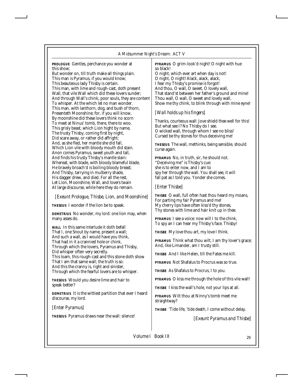*PROLOGUE* Gentles, perchance you wonder at this show;

But wonder on, till truth make all things plain. This man is Pyramus, if you would know; This beauteous lady Thisby is certain. This man, with lime and rough-cast, doth present Wall, that vile Wall which did these lovers sunder; And through Wall's chink, poor souls, they are content To whisper. At the which let no man wonder. This man, with lanthorn, dog, and bush of thorn, Presenteth Moonshine; for, if you will know, By moonshine did these lovers think no scorn To meet at Ninus' tomb, there, there to woo. This grisly beast, which Lion hight by name, The trusty Thisby, coming first by night, Did scare away, or rather did affright; And, as she fled, her mantle she did fall, Which Lion vile with bloody mouth did stain. Anon comes Pyramus, sweet youth and tall, And finds his trusty Thisby's mantle slain: Whereat, with blade, with bloody blameful blade, He bravely broach'd is boiling bloody breast; And Thisby, tarrying in mulberry shade, His dagger drew, and died. For all the rest, Let Lion, Moonshine, Wall, and lovers twain At large discourse, while here they do remain.

#### *[Exeunt Prologue, Thisbe, Lion, and Moonshine]*

*THESEUS* I wonder if the lion be to speak.

*DEMETRIUS* No wonder, my lord: one lion may, when many asses do.

*WALL* In this same interlude it doth befall That I, one Snout by name, present a wall; And such a wall, as I would have you think, That had in it a crannied hole or chink, Through which the lovers, Pyramus and Thisby, Did whisper often very secretly. This loam, this rough-cast and this stone doth show That I am that same wall; the truth is so: And this the cranny is, right and sinister, Through which the fearful lovers are to whisper.

*THESEUS* Would you desire lime and hair to speak better?

*DEMETRIUS* It is the wittiest partition that ever I heard discourse, my lord.

*[Enter Pyramus]*

*THESEUS* Pyramus draws near the wall: silence!

*PYRAMUS* O grim-look'd night! O night with hue so black!

O night, which ever art when day is not! O night, O night! Alack, alack, alack, I fear my Thisby's promise is forgot! And thou, O wall, O sweet, O lovely wall, That stand'st between her father's ground and mine! Thou wall, O wall, O sweet and lovely wall, Show me thy chink, to blink through with mine eyne!

#### *[Wall holds up his fingers]*

Thanks, courteous wall: Jove shield thee well for this! But what see I? No Thisby do I see. O wicked wall, through whom I see no bliss! Cursed be thy stones for thus deceiving me!

*THESEUS* The wall, methinks, being sensible, should curse again.

*PYRAMUS* No, in truth, sir, he should not. "Deceiving me" is Thisby's cue: she is to enter now, and I am to spy her through the wall. You shall see, it will fall pat as I told you. Yonder she comes.

#### *[Enter Thisbe]*

*THISBE* O wall, full often hast thou heard my moans, For parting my fair Pyramus and me! My cherry lips have often kiss'd thy stones, Thy stones with lime and hair knit up in thee.

*PYRAMUS* I see a voice: now will I to the chink, To spy an I can hear my Thisby's face. Thisby!

*THISBE* My love thou art, my love I think.

*PYRAMUS* Think what thou wilt, I am thy lover's grace; And, like Limander, am I trusty still.

*THISBE* And I like Helen, till the Fates me kill.

*PYRAMUS* Not Shafalus to Procrus was so true.

*THISBE* As Shafalus to Procrus, I to you.

*PYRAMUS* O kiss me through the hole of this vile wall!

*THISBE* I kiss the wall's hole, not your lips at all.

*PYRAMUS* Wilt thou at Ninny's tomb meet me straightway?

*THISBE* 'Tide life, 'tide death, I come without delay.

*[Exeunt Pyramus and Thisbe]*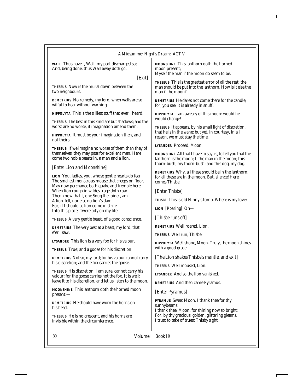*WALL* Thus have I, Wall, my part discharged so; And, being done, thus Wall away doth go.

*[Exit]*

*THESEUS* Now is the mural down between the two neighbours.

*DEMETRIUS* No remedy, my lord, when walls are so wilful to hear without warning.

*HIPPOLYTA* This is the silliest stuff that ever I heard.

*THESEUS* The best in this kind are but shadows; and the worst are no worse, if imagination amend them.

*HIPPOLYTA* It must be your imagination then, and not theirs.

*THESEUS* If we imagine no worse of them than they of themselves, they may pass for excellent men. Here come two noble beasts in, a man and a lion.

#### *[Enter Lion and Moonshine]*

*LION* You, ladies, you, whose gentle hearts do fear The smallest monstrous mouse that creeps on floor, May now perchance both quake and tremble here, When lion rough in wildest rage doth roar. Then know that I, one Snug the joiner, am A lion-fell, nor else no lion's dam; For, if I should as lion come in strife Into this place, 'twere pity on my life.

*THESEUS* A very gentle beast, of a good conscience.

*DEMETRIUS* The very best at a beast, my lord, that e'er I saw.

*LYSANDER* This lion is a very fox for his valour.

*THESEUS* True; and a goose for his discretion.

*DEMETRIUS* Not so, my lord; for his valour cannot carry his discretion; and the fox carries the goose.

*THESEUS* His discretion, I am sure, cannot carry his valour; for the goose carries not the fox. It is well: leave it to his discretion, and let us listen to the moon.

*MOONSHINE* This lanthorn doth the horned moon present;—

*DEMETRIUS* He should have worn the horns on his head.

*THESEUS* He is no crescent, and his horns are invisible within the circumference.

*MOONSHINE* This lanthorn doth the horned moon present;

Myself the man i' the moon do seem to be.

*THESEUS* This is the greatest error of all the rest: the man should be put into the lanthorn. How is it else the man i' the moon?

*DEMETRIUS* He dares not come there for the candle; for, you see, it is already in snuff.

*HIPPOLYTA* I am aweary of this moon: would he would change!

*THESEUS* It appears, by his small light of discretion, that he is in the wane; but yet, in courtesy, in all reason, we must stay the time.

*LYSANDER* Proceed, Moon.

*MOONSHINE* All that I have to say, is, to tell you that the lanthorn is the moon; I, the man in the moon; this thorn-bush, my thorn-bush; and this dog, my dog.

*DEMETRIUS* Why, all these should be in the lanthorn; for all these are in the moon. But, silence! Here comes Thisbe.

*[Enter Thisbe]*

*THISBE* This is old Ninny's tomb. Where is my love?

**LION** *[Roaring]* Oh—

*[Thisbe runs off]*

*DEMETRIUS* Well roared, Lion.

*THESEUS* Well run, Thisbe.

*HIPPOLYTA* Well shone, Moon. Truly, the moon shines with a good grace.

*[The Lion shakes Thisbe's mantle, and exit]*

*THESEUS* Well moused, Lion.

*LYSANDER* And so the lion vanished.

*DEMETRIUS* And then came Pyramus.

*[Enter Pyramus]*

*PYRAMUS* Sweet Moon, I thank thee for thy sunnybeams; I thank thee, Moon, for shining now so bright; For, by thy gracious, golden, glittering gleams, I trust to take of truest Thisby sight.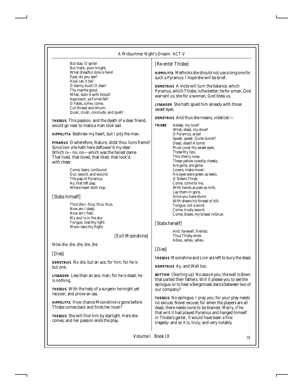But stay, O spite! But mark, poor knight, What dreadful dole is here! Eyes, do you see? How can it be? O dainty duck! O dear! Thy mantle good, What, stain'd with blood! Approach, ye Furies fell! O Fates, come, come, Cut thread and thrum; Quail, crush, conclude, and quell!

*THESEUS* This passion, and the death of a dear friend, would go near to make a man look sad.

*HIPPOLYTA* Beshrew my heart, but I pity the man.

*PYRAMUS* O wherefore, Nature, didst thou lions frame? Since lion vile hath here deflower'd my dear: Which is—no, no—which was the fairest dame That lived, that loved, that liked, that look'd with cheer.

> Come, tears, confound; Out, sword, and wound The pap of Pyramus; Ay, that left pap, Where heart doth hop:

#### *[Stabs himself]*

Thus die I, thus, thus, thus. Now am I dead, Now am I fled; My soul is in the sky: Tongue, lose thy light; Moon take thy flight:

*[Exit Moonshine]*

Now die, die, die, die, die.

#### *[Dies]*

*DEMETRIUS* No die, but an ace, for him; for he is but one.

*LYSANDER* Less than an ace, man; for he is dead; he is nothing.

*THESEUS* With the help of a surgeon he might yet recover, and prove an ass.

*HIPPOLYTA* How chance Moonshine is gone before Thisbe comes back and finds her lover?

*THESEUS* She will find him by starlight. Here she comes; and her passion ends the play.

#### *[Re-enter Thisbe]*

*HIPPOLYTA* Methinks she should not use a long one for such a Pyramus: I hope she will be brief.

*DEMETRIUS* A mote will turn the balance, which Pyramus, which Thisbe, is the better; he for a man, God warrant us; she for a woman, God bless us.

*LYSANDER* She hath spied him already with those sweet eyes.

*DEMETRIUS* And thus she means, videlicet:—

*THISBE* Asleep, my love? What, dead, my dove? O Pyramus, arise! Speak, speak. Quite dumb? Dead, dead? A tomb Must cover thy sweet eyes. These My lips, This cherry nose, These yellow cowslip cheeks, Are gone, are gone: Lovers, make moan: His eyes were green as leeks. O Sisters Three, Come, come to me, With hands as pale as milk; Lay them in gore, Since you have shore With shears his thread of silk. Tongue, not a word: Come, trusty sword; Come, blade, my breast imbrue:

#### *[Stabs herself]*

And, farewell, friends; Thus Thisby ends: Adieu, adieu, adieu.

#### *[Dies]*

*THESEUS* Moonshine and Lion are left to bury the dead.

*DEMETRIUS* Ay, and Wall too.

**BOTTOM** *[Starting up]* No assure you; the wall is down that parted their fathers. Will it please you to see the epilogue, or to hear a Bergomask dance between two of our company?

*THESEUS* No epilogue, I pray you; for your play needs no excuse. Never excuse; for when the players are all dead, there needs none to be blamed. Marry, if he that writ it had played Pyramus and hanged himself in Thisbe's garter, it would have been a fine tragedy: and so it is, truly; and very notably